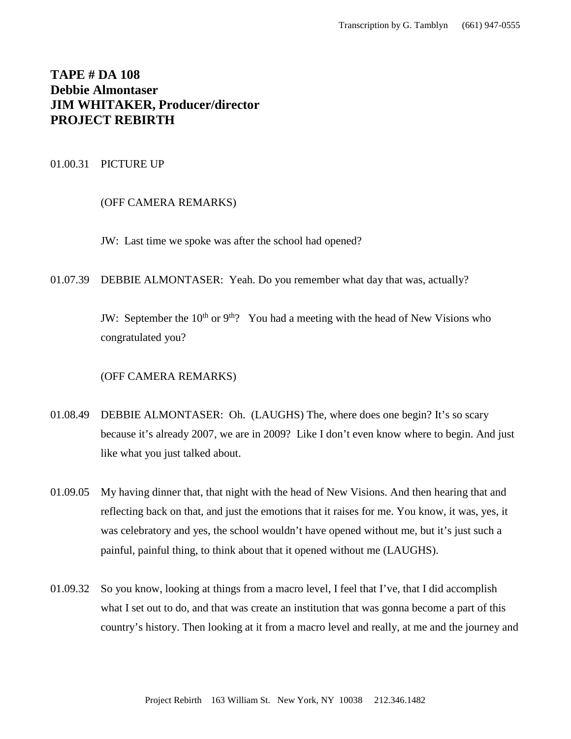# **TAPE # DA 108 Debbie Almontaser JIM WHITAKER, Producer/director PROJECT REBIRTH**

# 01.00.31 PICTURE UP

## (OFF CAMERA REMARKS)

JW: Last time we spoke was after the school had opened?

01.07.39 DEBBIE ALMONTASER: Yeah. Do you remember what day that was, actually?

JW: September the  $10^{th}$  or  $9^{th}$ ? You had a meeting with the head of New Visions who congratulated you?

## (OFF CAMERA REMARKS)

- 01.08.49 DEBBIE ALMONTASER: Oh. (LAUGHS) The, where does one begin? It's so scary because it's already 2007, we are in 2009? Like I don't even know where to begin. And just like what you just talked about.
- 01.09.05 My having dinner that, that night with the head of New Visions. And then hearing that and reflecting back on that, and just the emotions that it raises for me. You know, it was, yes, it was celebratory and yes, the school wouldn't have opened without me, but it's just such a painful, painful thing, to think about that it opened without me (LAUGHS).
- 01.09.32 So you know, looking at things from a macro level, I feel that I've, that I did accomplish what I set out to do, and that was create an institution that was gonna become a part of this country's history. Then looking at it from a macro level and really, at me and the journey and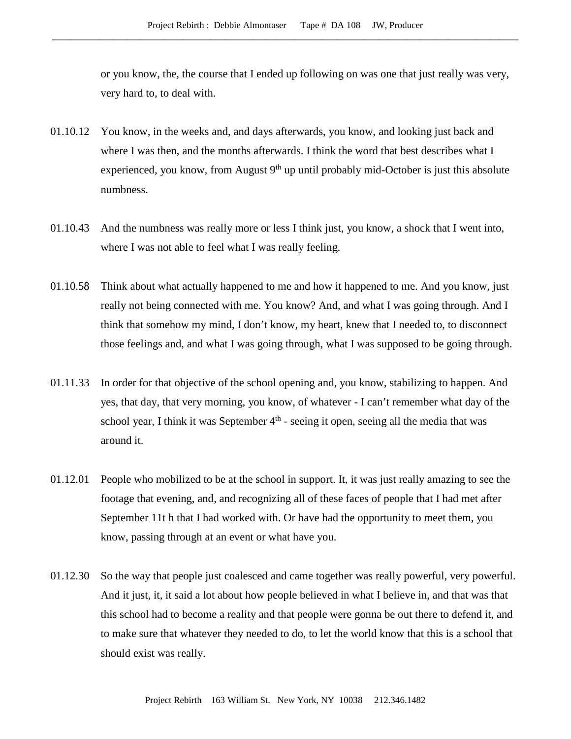or you know, the, the course that I ended up following on was one that just really was very, very hard to, to deal with.

- 01.10.12 You know, in the weeks and, and days afterwards, you know, and looking just back and where I was then, and the months afterwards. I think the word that best describes what I experienced, you know, from August  $9<sup>th</sup>$  up until probably mid-October is just this absolute numbness.
- 01.10.43 And the numbness was really more or less I think just, you know, a shock that I went into, where I was not able to feel what I was really feeling.
- 01.10.58 Think about what actually happened to me and how it happened to me. And you know, just really not being connected with me. You know? And, and what I was going through. And I think that somehow my mind, I don't know, my heart, knew that I needed to, to disconnect those feelings and, and what I was going through, what I was supposed to be going through.
- 01.11.33 In order for that objective of the school opening and, you know, stabilizing to happen. And yes, that day, that very morning, you know, of whatever - I can't remember what day of the school year, I think it was September  $4<sup>th</sup>$  - seeing it open, seeing all the media that was around it.
- 01.12.01 People who mobilized to be at the school in support. It, it was just really amazing to see the footage that evening, and, and recognizing all of these faces of people that I had met after September 11t h that I had worked with. Or have had the opportunity to meet them, you know, passing through at an event or what have you.
- 01.12.30 So the way that people just coalesced and came together was really powerful, very powerful. And it just, it, it said a lot about how people believed in what I believe in, and that was that this school had to become a reality and that people were gonna be out there to defend it, and to make sure that whatever they needed to do, to let the world know that this is a school that should exist was really.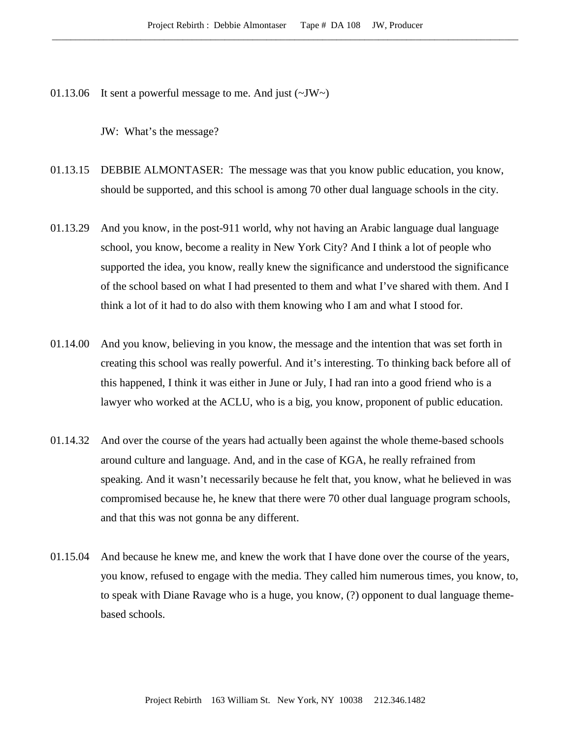01.13.06 It sent a powerful message to me. And just  $(\sim JW)$ 

JW: What's the message?

- 01.13.15 DEBBIE ALMONTASER: The message was that you know public education, you know, should be supported, and this school is among 70 other dual language schools in the city.
- 01.13.29 And you know, in the post-911 world, why not having an Arabic language dual language school, you know, become a reality in New York City? And I think a lot of people who supported the idea, you know, really knew the significance and understood the significance of the school based on what I had presented to them and what I've shared with them. And I think a lot of it had to do also with them knowing who I am and what I stood for.
- 01.14.00 And you know, believing in you know, the message and the intention that was set forth in creating this school was really powerful. And it's interesting. To thinking back before all of this happened, I think it was either in June or July, I had ran into a good friend who is a lawyer who worked at the ACLU, who is a big, you know, proponent of public education.
- 01.14.32 And over the course of the years had actually been against the whole theme-based schools around culture and language. And, and in the case of KGA, he really refrained from speaking. And it wasn't necessarily because he felt that, you know, what he believed in was compromised because he, he knew that there were 70 other dual language program schools, and that this was not gonna be any different.
- 01.15.04 And because he knew me, and knew the work that I have done over the course of the years, you know, refused to engage with the media. They called him numerous times, you know, to, to speak with Diane Ravage who is a huge, you know, (?) opponent to dual language themebased schools.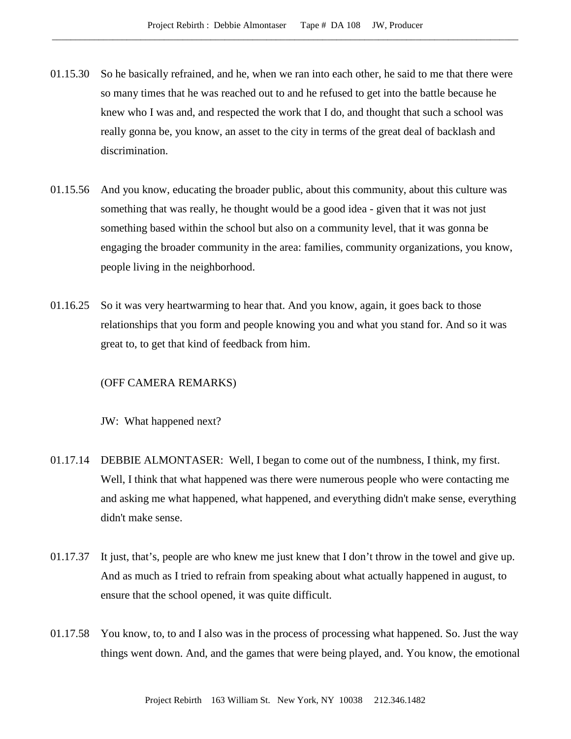- 01.15.30 So he basically refrained, and he, when we ran into each other, he said to me that there were so many times that he was reached out to and he refused to get into the battle because he knew who I was and, and respected the work that I do, and thought that such a school was really gonna be, you know, an asset to the city in terms of the great deal of backlash and discrimination.
- 01.15.56 And you know, educating the broader public, about this community, about this culture was something that was really, he thought would be a good idea - given that it was not just something based within the school but also on a community level, that it was gonna be engaging the broader community in the area: families, community organizations, you know, people living in the neighborhood.
- 01.16.25 So it was very heartwarming to hear that. And you know, again, it goes back to those relationships that you form and people knowing you and what you stand for. And so it was great to, to get that kind of feedback from him.

### (OFF CAMERA REMARKS)

JW: What happened next?

- 01.17.14 DEBBIE ALMONTASER: Well, I began to come out of the numbness, I think, my first. Well, I think that what happened was there were numerous people who were contacting me and asking me what happened, what happened, and everything didn't make sense, everything didn't make sense.
- 01.17.37 It just, that's, people are who knew me just knew that I don't throw in the towel and give up. And as much as I tried to refrain from speaking about what actually happened in august, to ensure that the school opened, it was quite difficult.
- 01.17.58 You know, to, to and I also was in the process of processing what happened. So. Just the way things went down. And, and the games that were being played, and. You know, the emotional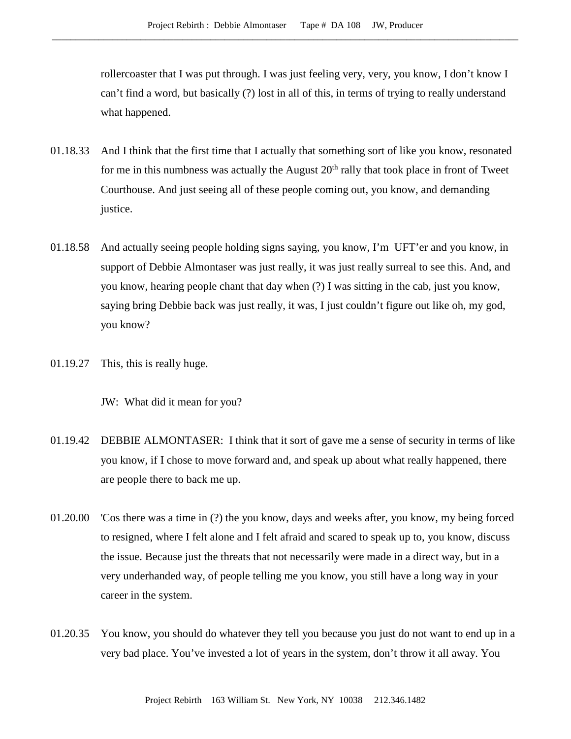rollercoaster that I was put through. I was just feeling very, very, you know, I don't know I can't find a word, but basically (?) lost in all of this, in terms of trying to really understand what happened.

- 01.18.33 And I think that the first time that I actually that something sort of like you know, resonated for me in this numbness was actually the August  $20<sup>th</sup>$  rally that took place in front of Tweet Courthouse. And just seeing all of these people coming out, you know, and demanding justice.
- 01.18.58 And actually seeing people holding signs saying, you know, I'm UFT'er and you know, in support of Debbie Almontaser was just really, it was just really surreal to see this. And, and you know, hearing people chant that day when (?) I was sitting in the cab, just you know, saying bring Debbie back was just really, it was, I just couldn't figure out like oh, my god, you know?
- 01.19.27 This, this is really huge.

JW: What did it mean for you?

- 01.19.42 DEBBIE ALMONTASER: I think that it sort of gave me a sense of security in terms of like you know, if I chose to move forward and, and speak up about what really happened, there are people there to back me up.
- 01.20.00 'Cos there was a time in (?) the you know, days and weeks after, you know, my being forced to resigned, where I felt alone and I felt afraid and scared to speak up to, you know, discuss the issue. Because just the threats that not necessarily were made in a direct way, but in a very underhanded way, of people telling me you know, you still have a long way in your career in the system.
- 01.20.35 You know, you should do whatever they tell you because you just do not want to end up in a very bad place. You've invested a lot of years in the system, don't throw it all away. You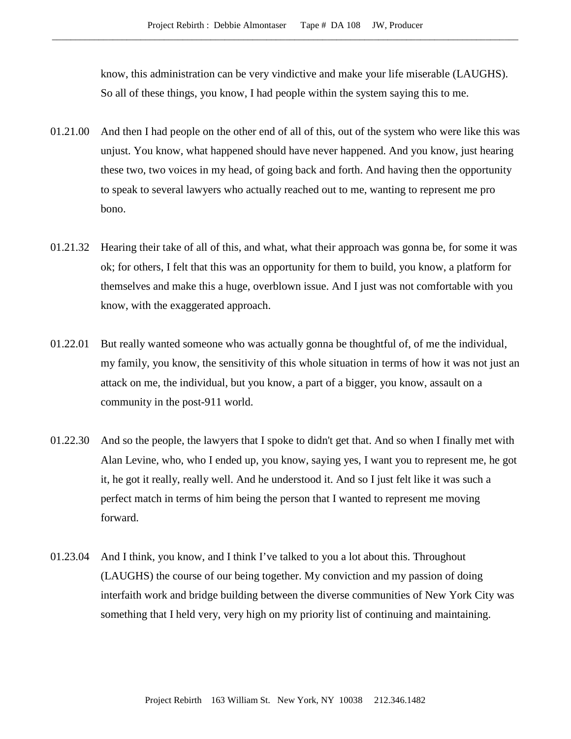know, this administration can be very vindictive and make your life miserable (LAUGHS). So all of these things, you know, I had people within the system saying this to me.

- 01.21.00 And then I had people on the other end of all of this, out of the system who were like this was unjust. You know, what happened should have never happened. And you know, just hearing these two, two voices in my head, of going back and forth. And having then the opportunity to speak to several lawyers who actually reached out to me, wanting to represent me pro bono.
- 01.21.32 Hearing their take of all of this, and what, what their approach was gonna be, for some it was ok; for others, I felt that this was an opportunity for them to build, you know, a platform for themselves and make this a huge, overblown issue. And I just was not comfortable with you know, with the exaggerated approach.
- 01.22.01 But really wanted someone who was actually gonna be thoughtful of, of me the individual, my family, you know, the sensitivity of this whole situation in terms of how it was not just an attack on me, the individual, but you know, a part of a bigger, you know, assault on a community in the post-911 world.
- 01.22.30 And so the people, the lawyers that I spoke to didn't get that. And so when I finally met with Alan Levine, who, who I ended up, you know, saying yes, I want you to represent me, he got it, he got it really, really well. And he understood it. And so I just felt like it was such a perfect match in terms of him being the person that I wanted to represent me moving forward.
- 01.23.04 And I think, you know, and I think I've talked to you a lot about this. Throughout (LAUGHS) the course of our being together. My conviction and my passion of doing interfaith work and bridge building between the diverse communities of New York City was something that I held very, very high on my priority list of continuing and maintaining.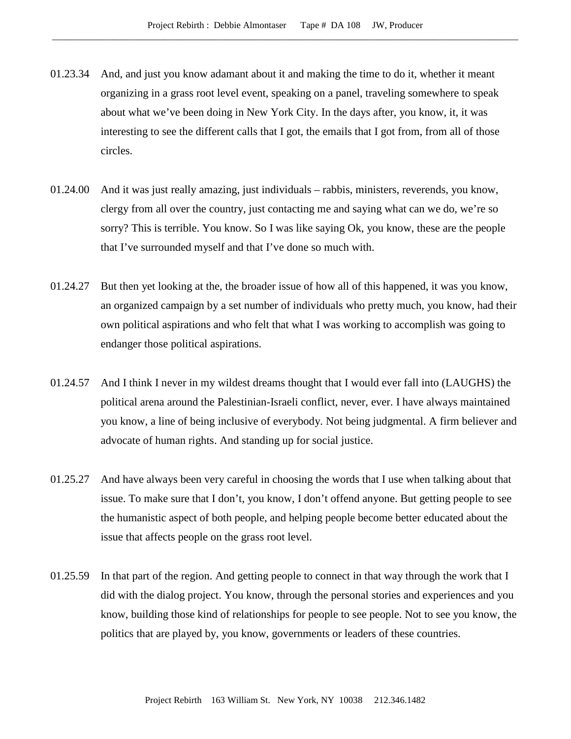- 01.23.34 And, and just you know adamant about it and making the time to do it, whether it meant organizing in a grass root level event, speaking on a panel, traveling somewhere to speak about what we've been doing in New York City. In the days after, you know, it, it was interesting to see the different calls that I got, the emails that I got from, from all of those circles.
- 01.24.00 And it was just really amazing, just individuals rabbis, ministers, reverends, you know, clergy from all over the country, just contacting me and saying what can we do, we're so sorry? This is terrible. You know. So I was like saying Ok, you know, these are the people that I've surrounded myself and that I've done so much with.
- 01.24.27 But then yet looking at the, the broader issue of how all of this happened, it was you know, an organized campaign by a set number of individuals who pretty much, you know, had their own political aspirations and who felt that what I was working to accomplish was going to endanger those political aspirations.
- 01.24.57 And I think I never in my wildest dreams thought that I would ever fall into (LAUGHS) the political arena around the Palestinian-Israeli conflict, never, ever. I have always maintained you know, a line of being inclusive of everybody. Not being judgmental. A firm believer and advocate of human rights. And standing up for social justice.
- 01.25.27 And have always been very careful in choosing the words that I use when talking about that issue. To make sure that I don't, you know, I don't offend anyone. But getting people to see the humanistic aspect of both people, and helping people become better educated about the issue that affects people on the grass root level.
- 01.25.59 In that part of the region. And getting people to connect in that way through the work that I did with the dialog project. You know, through the personal stories and experiences and you know, building those kind of relationships for people to see people. Not to see you know, the politics that are played by, you know, governments or leaders of these countries.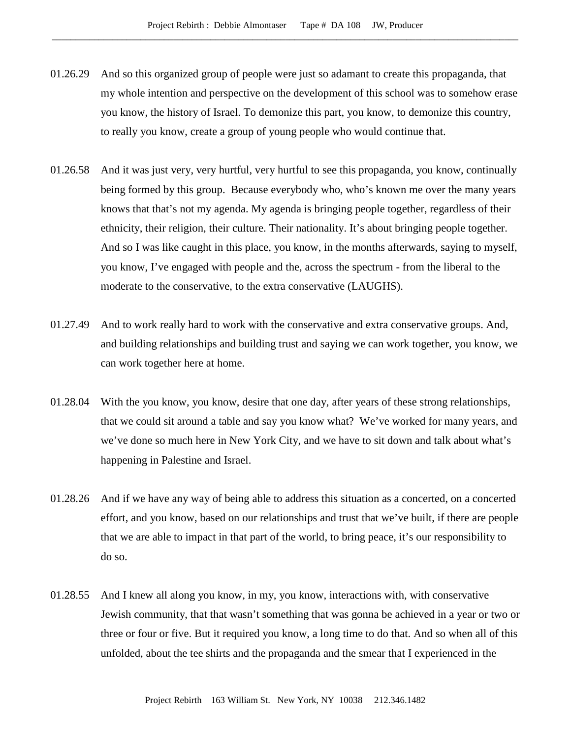- 01.26.29 And so this organized group of people were just so adamant to create this propaganda, that my whole intention and perspective on the development of this school was to somehow erase you know, the history of Israel. To demonize this part, you know, to demonize this country, to really you know, create a group of young people who would continue that.
- 01.26.58 And it was just very, very hurtful, very hurtful to see this propaganda, you know, continually being formed by this group. Because everybody who, who's known me over the many years knows that that's not my agenda. My agenda is bringing people together, regardless of their ethnicity, their religion, their culture. Their nationality. It's about bringing people together. And so I was like caught in this place, you know, in the months afterwards, saying to myself, you know, I've engaged with people and the, across the spectrum - from the liberal to the moderate to the conservative, to the extra conservative (LAUGHS).
- 01.27.49 And to work really hard to work with the conservative and extra conservative groups. And, and building relationships and building trust and saying we can work together, you know, we can work together here at home.
- 01.28.04 With the you know, you know, desire that one day, after years of these strong relationships, that we could sit around a table and say you know what? We've worked for many years, and we've done so much here in New York City, and we have to sit down and talk about what's happening in Palestine and Israel.
- 01.28.26 And if we have any way of being able to address this situation as a concerted, on a concerted effort, and you know, based on our relationships and trust that we've built, if there are people that we are able to impact in that part of the world, to bring peace, it's our responsibility to do so.
- 01.28.55 And I knew all along you know, in my, you know, interactions with, with conservative Jewish community, that that wasn't something that was gonna be achieved in a year or two or three or four or five. But it required you know, a long time to do that. And so when all of this unfolded, about the tee shirts and the propaganda and the smear that I experienced in the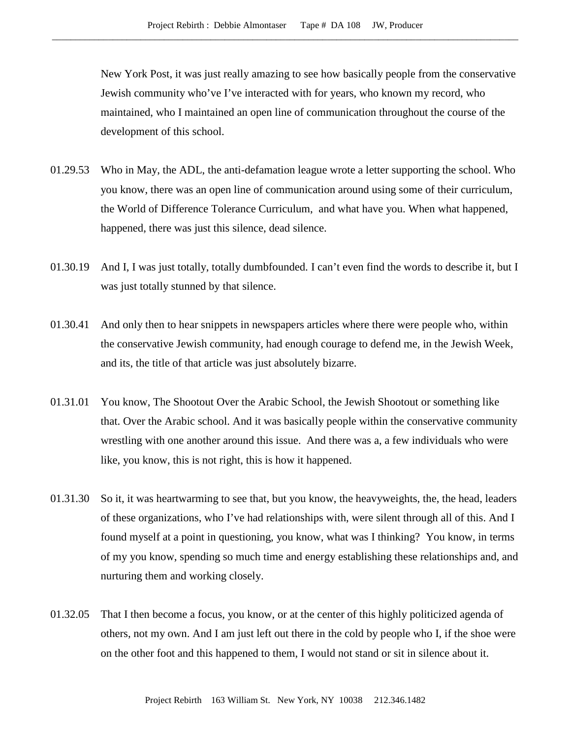New York Post, it was just really amazing to see how basically people from the conservative Jewish community who've I've interacted with for years, who known my record, who maintained, who I maintained an open line of communication throughout the course of the development of this school.

- 01.29.53 Who in May, the ADL, the anti-defamation league wrote a letter supporting the school. Who you know, there was an open line of communication around using some of their curriculum, the World of Difference Tolerance Curriculum, and what have you. When what happened, happened, there was just this silence, dead silence.
- 01.30.19 And I, I was just totally, totally dumbfounded. I can't even find the words to describe it, but I was just totally stunned by that silence.
- 01.30.41 And only then to hear snippets in newspapers articles where there were people who, within the conservative Jewish community, had enough courage to defend me, in the Jewish Week, and its, the title of that article was just absolutely bizarre.
- 01.31.01 You know, The Shootout Over the Arabic School, the Jewish Shootout or something like that. Over the Arabic school. And it was basically people within the conservative community wrestling with one another around this issue. And there was a, a few individuals who were like, you know, this is not right, this is how it happened.
- 01.31.30 So it, it was heartwarming to see that, but you know, the heavyweights, the, the head, leaders of these organizations, who I've had relationships with, were silent through all of this. And I found myself at a point in questioning, you know, what was I thinking? You know, in terms of my you know, spending so much time and energy establishing these relationships and, and nurturing them and working closely.
- 01.32.05 That I then become a focus, you know, or at the center of this highly politicized agenda of others, not my own. And I am just left out there in the cold by people who I, if the shoe were on the other foot and this happened to them, I would not stand or sit in silence about it.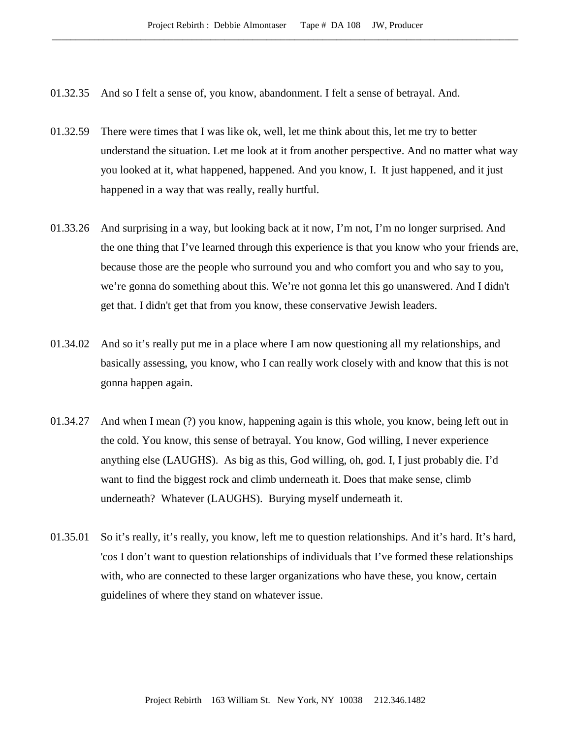- 01.32.35 And so I felt a sense of, you know, abandonment. I felt a sense of betrayal. And.
- 01.32.59 There were times that I was like ok, well, let me think about this, let me try to better understand the situation. Let me look at it from another perspective. And no matter what way you looked at it, what happened, happened. And you know, I. It just happened, and it just happened in a way that was really, really hurtful.
- 01.33.26 And surprising in a way, but looking back at it now, I'm not, I'm no longer surprised. And the one thing that I've learned through this experience is that you know who your friends are, because those are the people who surround you and who comfort you and who say to you, we're gonna do something about this. We're not gonna let this go unanswered. And I didn't get that. I didn't get that from you know, these conservative Jewish leaders.
- 01.34.02 And so it's really put me in a place where I am now questioning all my relationships, and basically assessing, you know, who I can really work closely with and know that this is not gonna happen again.
- 01.34.27 And when I mean (?) you know, happening again is this whole, you know, being left out in the cold. You know, this sense of betrayal. You know, God willing, I never experience anything else (LAUGHS). As big as this, God willing, oh, god. I, I just probably die. I'd want to find the biggest rock and climb underneath it. Does that make sense, climb underneath? Whatever (LAUGHS). Burying myself underneath it.
- 01.35.01 So it's really, it's really, you know, left me to question relationships. And it's hard. It's hard, 'cos I don't want to question relationships of individuals that I've formed these relationships with, who are connected to these larger organizations who have these, you know, certain guidelines of where they stand on whatever issue.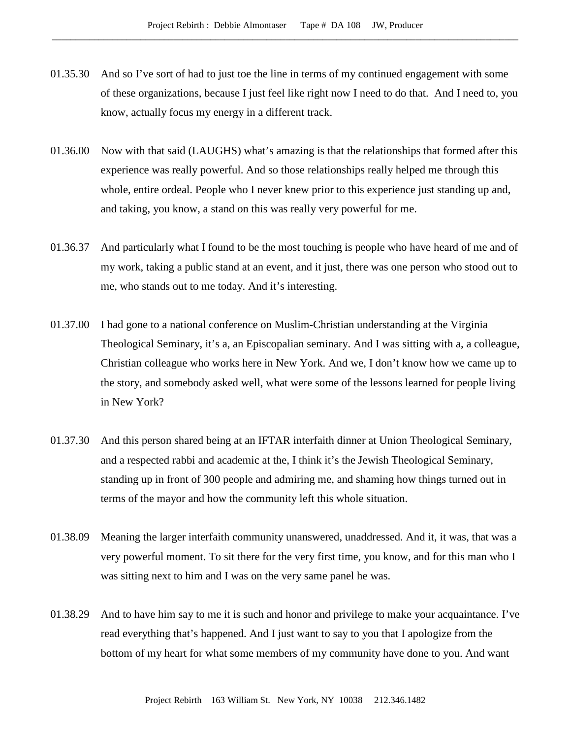- 01.35.30 And so I've sort of had to just toe the line in terms of my continued engagement with some of these organizations, because I just feel like right now I need to do that. And I need to, you know, actually focus my energy in a different track.
- 01.36.00 Now with that said (LAUGHS) what's amazing is that the relationships that formed after this experience was really powerful. And so those relationships really helped me through this whole, entire ordeal. People who I never knew prior to this experience just standing up and, and taking, you know, a stand on this was really very powerful for me.
- 01.36.37 And particularly what I found to be the most touching is people who have heard of me and of my work, taking a public stand at an event, and it just, there was one person who stood out to me, who stands out to me today. And it's interesting.
- 01.37.00 I had gone to a national conference on Muslim-Christian understanding at the Virginia Theological Seminary, it's a, an Episcopalian seminary. And I was sitting with a, a colleague, Christian colleague who works here in New York. And we, I don't know how we came up to the story, and somebody asked well, what were some of the lessons learned for people living in New York?
- 01.37.30 And this person shared being at an IFTAR interfaith dinner at Union Theological Seminary, and a respected rabbi and academic at the, I think it's the Jewish Theological Seminary, standing up in front of 300 people and admiring me, and shaming how things turned out in terms of the mayor and how the community left this whole situation.
- 01.38.09 Meaning the larger interfaith community unanswered, unaddressed. And it, it was, that was a very powerful moment. To sit there for the very first time, you know, and for this man who I was sitting next to him and I was on the very same panel he was.
- 01.38.29 And to have him say to me it is such and honor and privilege to make your acquaintance. I've read everything that's happened. And I just want to say to you that I apologize from the bottom of my heart for what some members of my community have done to you. And want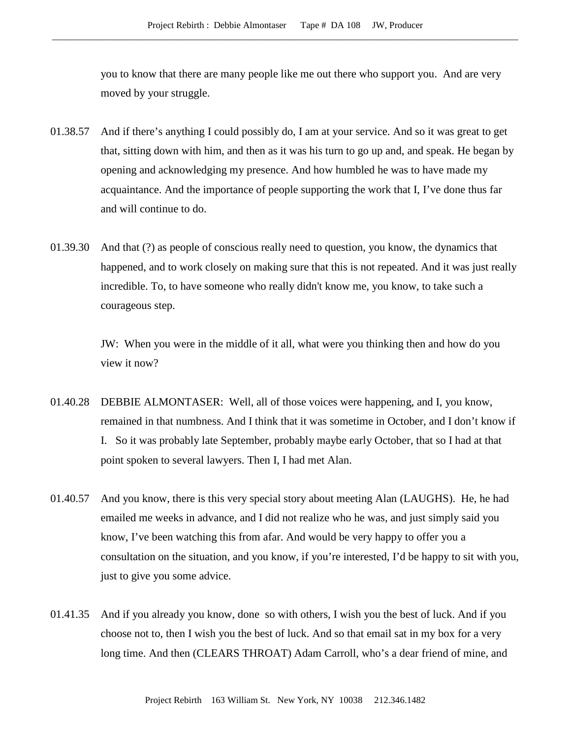you to know that there are many people like me out there who support you. And are very moved by your struggle.

- 01.38.57 And if there's anything I could possibly do, I am at your service. And so it was great to get that, sitting down with him, and then as it was his turn to go up and, and speak. He began by opening and acknowledging my presence. And how humbled he was to have made my acquaintance. And the importance of people supporting the work that I, I've done thus far and will continue to do.
- 01.39.30 And that (?) as people of conscious really need to question, you know, the dynamics that happened, and to work closely on making sure that this is not repeated. And it was just really incredible. To, to have someone who really didn't know me, you know, to take such a courageous step.

JW: When you were in the middle of it all, what were you thinking then and how do you view it now?

- 01.40.28 DEBBIE ALMONTASER: Well, all of those voices were happening, and I, you know, remained in that numbness. And I think that it was sometime in October, and I don't know if I. So it was probably late September, probably maybe early October, that so I had at that point spoken to several lawyers. Then I, I had met Alan.
- 01.40.57 And you know, there is this very special story about meeting Alan (LAUGHS). He, he had emailed me weeks in advance, and I did not realize who he was, and just simply said you know, I've been watching this from afar. And would be very happy to offer you a consultation on the situation, and you know, if you're interested, I'd be happy to sit with you, just to give you some advice.
- 01.41.35 And if you already you know, done so with others, I wish you the best of luck. And if you choose not to, then I wish you the best of luck. And so that email sat in my box for a very long time. And then (CLEARS THROAT) Adam Carroll, who's a dear friend of mine, and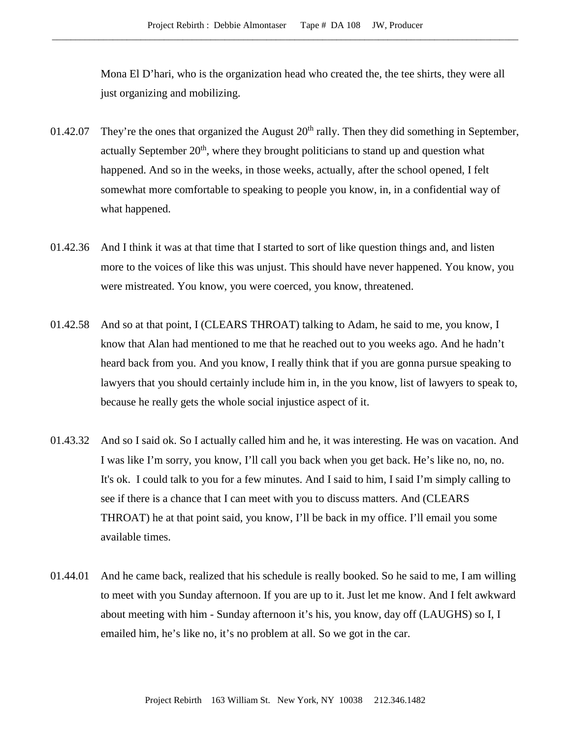Mona El D'hari, who is the organization head who created the, the tee shirts, they were all just organizing and mobilizing.

- 01.42.07 They're the ones that organized the August  $20<sup>th</sup>$  rally. Then they did something in September, actually September  $20<sup>th</sup>$ , where they brought politicians to stand up and question what happened. And so in the weeks, in those weeks, actually, after the school opened, I felt somewhat more comfortable to speaking to people you know, in, in a confidential way of what happened.
- 01.42.36 And I think it was at that time that I started to sort of like question things and, and listen more to the voices of like this was unjust. This should have never happened. You know, you were mistreated. You know, you were coerced, you know, threatened.
- 01.42.58 And so at that point, I (CLEARS THROAT) talking to Adam, he said to me, you know, I know that Alan had mentioned to me that he reached out to you weeks ago. And he hadn't heard back from you. And you know, I really think that if you are gonna pursue speaking to lawyers that you should certainly include him in, in the you know, list of lawyers to speak to, because he really gets the whole social injustice aspect of it.
- 01.43.32 And so I said ok. So I actually called him and he, it was interesting. He was on vacation. And I was like I'm sorry, you know, I'll call you back when you get back. He's like no, no, no. It's ok. I could talk to you for a few minutes. And I said to him, I said I'm simply calling to see if there is a chance that I can meet with you to discuss matters. And (CLEARS THROAT) he at that point said, you know, I'll be back in my office. I'll email you some available times.
- 01.44.01 And he came back, realized that his schedule is really booked. So he said to me, I am willing to meet with you Sunday afternoon. If you are up to it. Just let me know. And I felt awkward about meeting with him - Sunday afternoon it's his, you know, day off (LAUGHS) so I, I emailed him, he's like no, it's no problem at all. So we got in the car.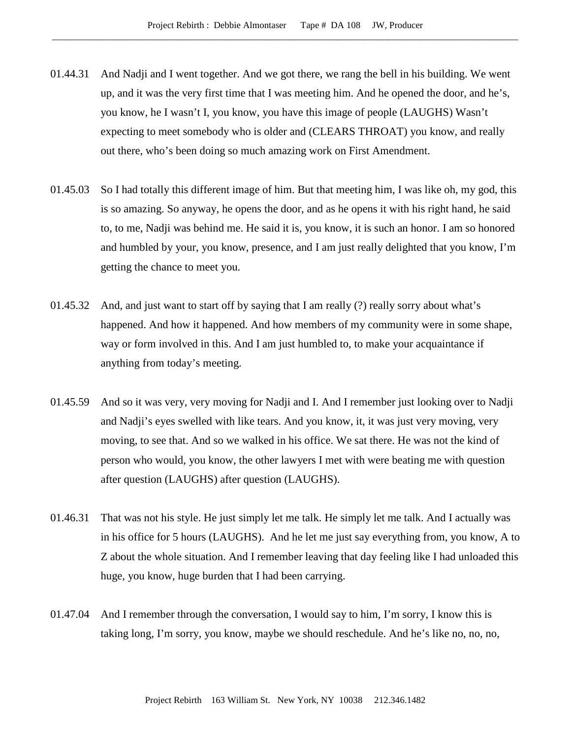- 01.44.31 And Nadji and I went together. And we got there, we rang the bell in his building. We went up, and it was the very first time that I was meeting him. And he opened the door, and he's, you know, he I wasn't I, you know, you have this image of people (LAUGHS) Wasn't expecting to meet somebody who is older and (CLEARS THROAT) you know, and really out there, who's been doing so much amazing work on First Amendment.
- 01.45.03 So I had totally this different image of him. But that meeting him, I was like oh, my god, this is so amazing. So anyway, he opens the door, and as he opens it with his right hand, he said to, to me, Nadji was behind me. He said it is, you know, it is such an honor. I am so honored and humbled by your, you know, presence, and I am just really delighted that you know, I'm getting the chance to meet you.
- 01.45.32 And, and just want to start off by saying that I am really (?) really sorry about what's happened. And how it happened. And how members of my community were in some shape, way or form involved in this. And I am just humbled to, to make your acquaintance if anything from today's meeting.
- 01.45.59 And so it was very, very moving for Nadji and I. And I remember just looking over to Nadji and Nadji's eyes swelled with like tears. And you know, it, it was just very moving, very moving, to see that. And so we walked in his office. We sat there. He was not the kind of person who would, you know, the other lawyers I met with were beating me with question after question (LAUGHS) after question (LAUGHS).
- 01.46.31 That was not his style. He just simply let me talk. He simply let me talk. And I actually was in his office for 5 hours (LAUGHS). And he let me just say everything from, you know, A to Z about the whole situation. And I remember leaving that day feeling like I had unloaded this huge, you know, huge burden that I had been carrying.
- 01.47.04 And I remember through the conversation, I would say to him, I'm sorry, I know this is taking long, I'm sorry, you know, maybe we should reschedule. And he's like no, no, no,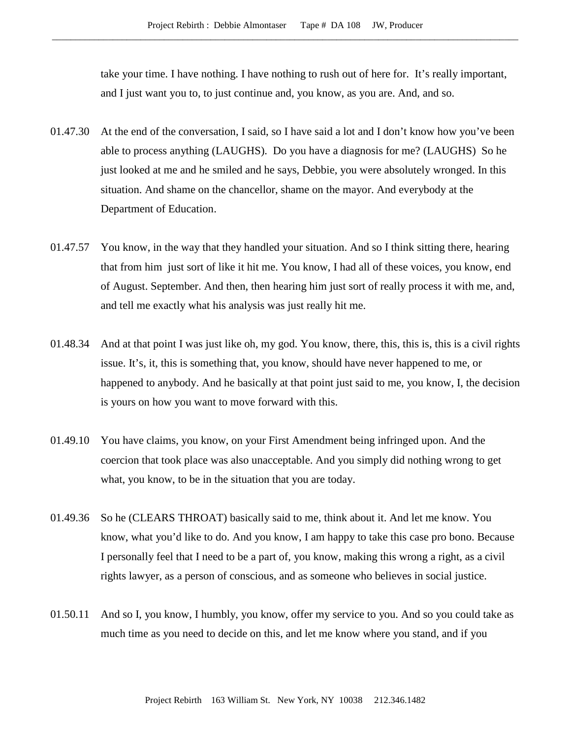take your time. I have nothing. I have nothing to rush out of here for. It's really important, and I just want you to, to just continue and, you know, as you are. And, and so.

- 01.47.30 At the end of the conversation, I said, so I have said a lot and I don't know how you've been able to process anything (LAUGHS). Do you have a diagnosis for me? (LAUGHS) So he just looked at me and he smiled and he says, Debbie, you were absolutely wronged. In this situation. And shame on the chancellor, shame on the mayor. And everybody at the Department of Education.
- 01.47.57 You know, in the way that they handled your situation. And so I think sitting there, hearing that from him just sort of like it hit me. You know, I had all of these voices, you know, end of August. September. And then, then hearing him just sort of really process it with me, and, and tell me exactly what his analysis was just really hit me.
- 01.48.34 And at that point I was just like oh, my god. You know, there, this, this is, this is a civil rights issue. It's, it, this is something that, you know, should have never happened to me, or happened to anybody. And he basically at that point just said to me, you know, I, the decision is yours on how you want to move forward with this.
- 01.49.10 You have claims, you know, on your First Amendment being infringed upon. And the coercion that took place was also unacceptable. And you simply did nothing wrong to get what, you know, to be in the situation that you are today.
- 01.49.36 So he (CLEARS THROAT) basically said to me, think about it. And let me know. You know, what you'd like to do. And you know, I am happy to take this case pro bono. Because I personally feel that I need to be a part of, you know, making this wrong a right, as a civil rights lawyer, as a person of conscious, and as someone who believes in social justice.
- 01.50.11 And so I, you know, I humbly, you know, offer my service to you. And so you could take as much time as you need to decide on this, and let me know where you stand, and if you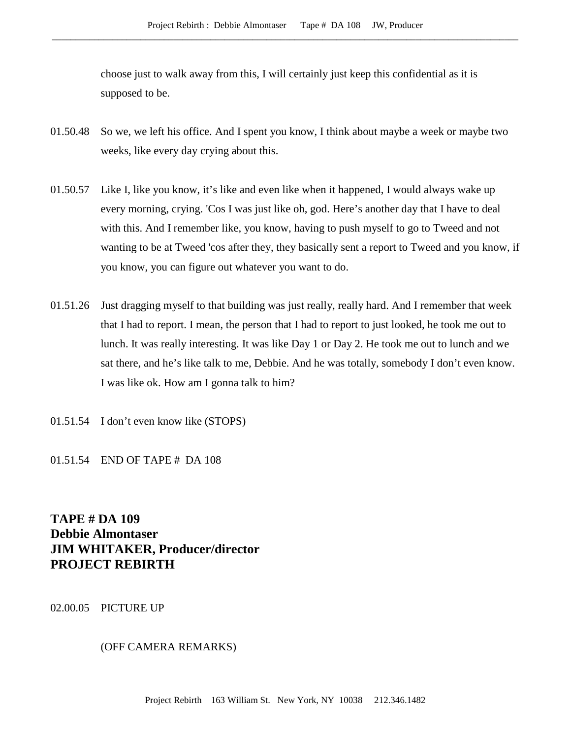choose just to walk away from this, I will certainly just keep this confidential as it is supposed to be.

- 01.50.48 So we, we left his office. And I spent you know, I think about maybe a week or maybe two weeks, like every day crying about this.
- 01.50.57 Like I, like you know, it's like and even like when it happened, I would always wake up every morning, crying. 'Cos I was just like oh, god. Here's another day that I have to deal with this. And I remember like, you know, having to push myself to go to Tweed and not wanting to be at Tweed 'cos after they, they basically sent a report to Tweed and you know, if you know, you can figure out whatever you want to do.
- 01.51.26 Just dragging myself to that building was just really, really hard. And I remember that week that I had to report. I mean, the person that I had to report to just looked, he took me out to lunch. It was really interesting. It was like Day 1 or Day 2. He took me out to lunch and we sat there, and he's like talk to me, Debbie. And he was totally, somebody I don't even know. I was like ok. How am I gonna talk to him?
- 01.51.54 I don't even know like (STOPS)
- 01.51.54 END OF TAPE # DA 108

**TAPE # DA 109 Debbie Almontaser JIM WHITAKER, Producer/director PROJECT REBIRTH**

02.00.05 PICTURE UP

# (OFF CAMERA REMARKS)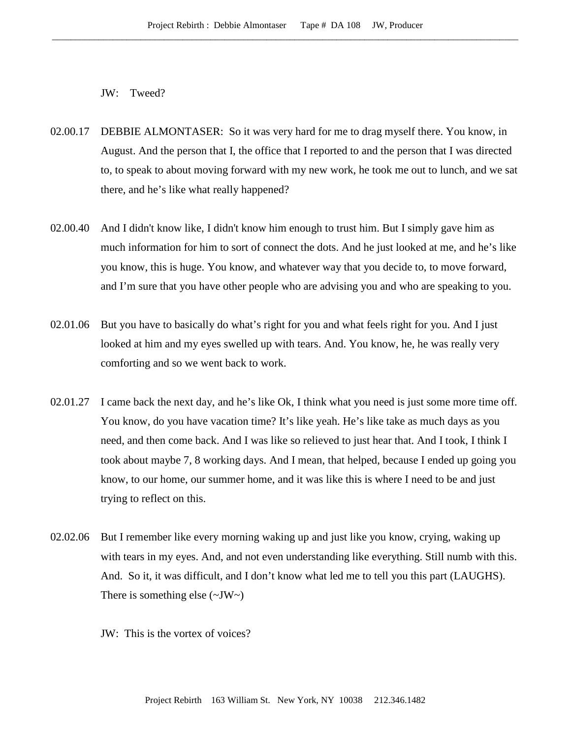JW: Tweed?

- 02.00.17 DEBBIE ALMONTASER: So it was very hard for me to drag myself there. You know, in August. And the person that I, the office that I reported to and the person that I was directed to, to speak to about moving forward with my new work, he took me out to lunch, and we sat there, and he's like what really happened?
- 02.00.40 And I didn't know like, I didn't know him enough to trust him. But I simply gave him as much information for him to sort of connect the dots. And he just looked at me, and he's like you know, this is huge. You know, and whatever way that you decide to, to move forward, and I'm sure that you have other people who are advising you and who are speaking to you.
- 02.01.06 But you have to basically do what's right for you and what feels right for you. And I just looked at him and my eyes swelled up with tears. And. You know, he, he was really very comforting and so we went back to work.
- 02.01.27 I came back the next day, and he's like Ok, I think what you need is just some more time off. You know, do you have vacation time? It's like yeah. He's like take as much days as you need, and then come back. And I was like so relieved to just hear that. And I took, I think I took about maybe 7, 8 working days. And I mean, that helped, because I ended up going you know, to our home, our summer home, and it was like this is where I need to be and just trying to reflect on this.
- 02.02.06 But I remember like every morning waking up and just like you know, crying, waking up with tears in my eyes. And, and not even understanding like everything. Still numb with this. And. So it, it was difficult, and I don't know what led me to tell you this part (LAUGHS). There is something else  $(\sim JW \sim)$ 
	- JW: This is the vortex of voices?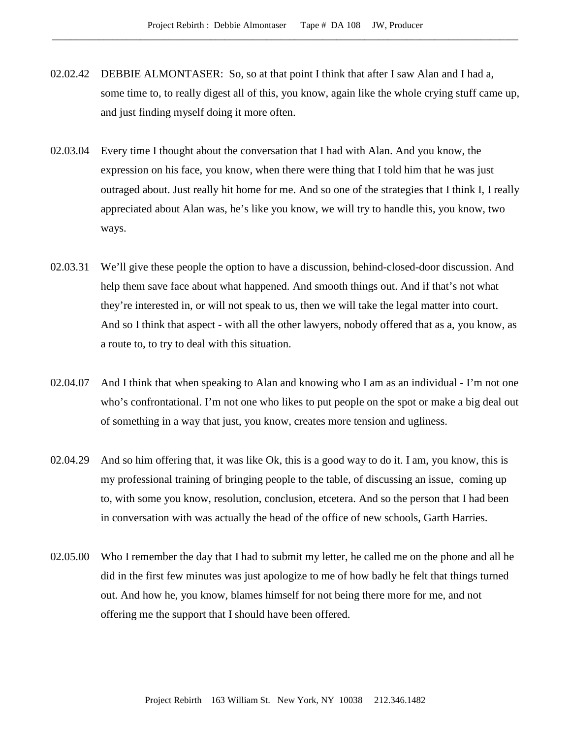- 02.02.42 DEBBIE ALMONTASER: So, so at that point I think that after I saw Alan and I had a, some time to, to really digest all of this, you know, again like the whole crying stuff came up, and just finding myself doing it more often.
- 02.03.04 Every time I thought about the conversation that I had with Alan. And you know, the expression on his face, you know, when there were thing that I told him that he was just outraged about. Just really hit home for me. And so one of the strategies that I think I, I really appreciated about Alan was, he's like you know, we will try to handle this, you know, two ways.
- 02.03.31 We'll give these people the option to have a discussion, behind-closed-door discussion. And help them save face about what happened. And smooth things out. And if that's not what they're interested in, or will not speak to us, then we will take the legal matter into court. And so I think that aspect - with all the other lawyers, nobody offered that as a, you know, as a route to, to try to deal with this situation.
- 02.04.07 And I think that when speaking to Alan and knowing who I am as an individual I'm not one who's confrontational. I'm not one who likes to put people on the spot or make a big deal out of something in a way that just, you know, creates more tension and ugliness.
- 02.04.29 And so him offering that, it was like Ok, this is a good way to do it. I am, you know, this is my professional training of bringing people to the table, of discussing an issue, coming up to, with some you know, resolution, conclusion, etcetera. And so the person that I had been in conversation with was actually the head of the office of new schools, Garth Harries.
- 02.05.00 Who I remember the day that I had to submit my letter, he called me on the phone and all he did in the first few minutes was just apologize to me of how badly he felt that things turned out. And how he, you know, blames himself for not being there more for me, and not offering me the support that I should have been offered.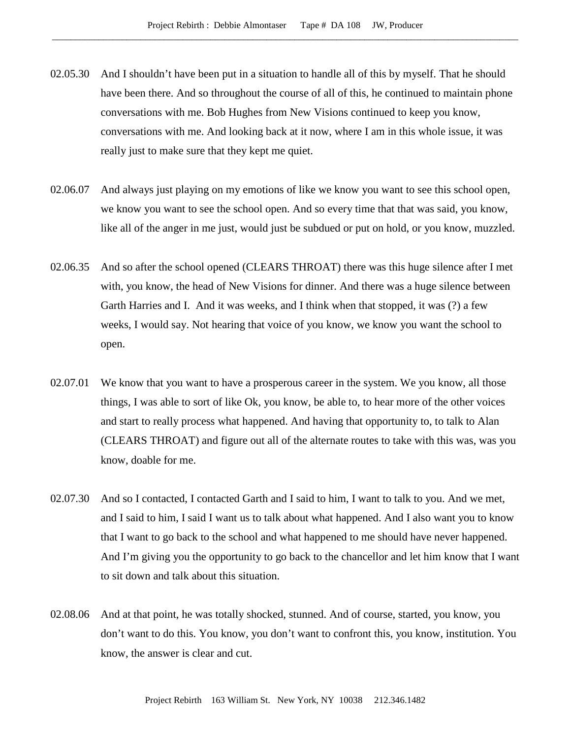- 02.05.30 And I shouldn't have been put in a situation to handle all of this by myself. That he should have been there. And so throughout the course of all of this, he continued to maintain phone conversations with me. Bob Hughes from New Visions continued to keep you know, conversations with me. And looking back at it now, where I am in this whole issue, it was really just to make sure that they kept me quiet.
- 02.06.07 And always just playing on my emotions of like we know you want to see this school open, we know you want to see the school open. And so every time that that was said, you know, like all of the anger in me just, would just be subdued or put on hold, or you know, muzzled.
- 02.06.35 And so after the school opened (CLEARS THROAT) there was this huge silence after I met with, you know, the head of New Visions for dinner. And there was a huge silence between Garth Harries and I. And it was weeks, and I think when that stopped, it was (?) a few weeks, I would say. Not hearing that voice of you know, we know you want the school to open.
- 02.07.01 We know that you want to have a prosperous career in the system. We you know, all those things, I was able to sort of like Ok, you know, be able to, to hear more of the other voices and start to really process what happened. And having that opportunity to, to talk to Alan (CLEARS THROAT) and figure out all of the alternate routes to take with this was, was you know, doable for me.
- 02.07.30 And so I contacted, I contacted Garth and I said to him, I want to talk to you. And we met, and I said to him, I said I want us to talk about what happened. And I also want you to know that I want to go back to the school and what happened to me should have never happened. And I'm giving you the opportunity to go back to the chancellor and let him know that I want to sit down and talk about this situation.
- 02.08.06 And at that point, he was totally shocked, stunned. And of course, started, you know, you don't want to do this. You know, you don't want to confront this, you know, institution. You know, the answer is clear and cut.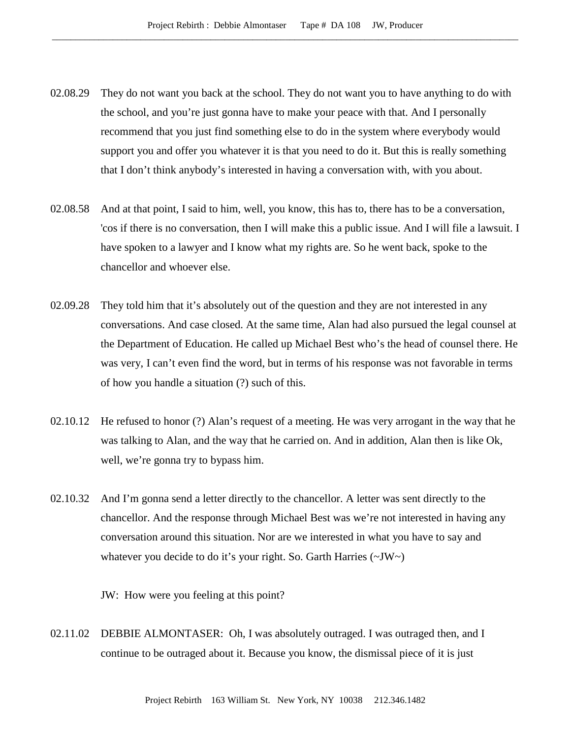- 02.08.29 They do not want you back at the school. They do not want you to have anything to do with the school, and you're just gonna have to make your peace with that. And I personally recommend that you just find something else to do in the system where everybody would support you and offer you whatever it is that you need to do it. But this is really something that I don't think anybody's interested in having a conversation with, with you about.
- 02.08.58 And at that point, I said to him, well, you know, this has to, there has to be a conversation, 'cos if there is no conversation, then I will make this a public issue. And I will file a lawsuit. I have spoken to a lawyer and I know what my rights are. So he went back, spoke to the chancellor and whoever else.
- 02.09.28 They told him that it's absolutely out of the question and they are not interested in any conversations. And case closed. At the same time, Alan had also pursued the legal counsel at the Department of Education. He called up Michael Best who's the head of counsel there. He was very, I can't even find the word, but in terms of his response was not favorable in terms of how you handle a situation (?) such of this.
- 02.10.12 He refused to honor (?) Alan's request of a meeting. He was very arrogant in the way that he was talking to Alan, and the way that he carried on. And in addition, Alan then is like Ok, well, we're gonna try to bypass him.
- 02.10.32 And I'm gonna send a letter directly to the chancellor. A letter was sent directly to the chancellor. And the response through Michael Best was we're not interested in having any conversation around this situation. Nor are we interested in what you have to say and whatever you decide to do it's your right. So. Garth Harries (~JW~)

JW: How were you feeling at this point?

02.11.02 DEBBIE ALMONTASER: Oh, I was absolutely outraged. I was outraged then, and I continue to be outraged about it. Because you know, the dismissal piece of it is just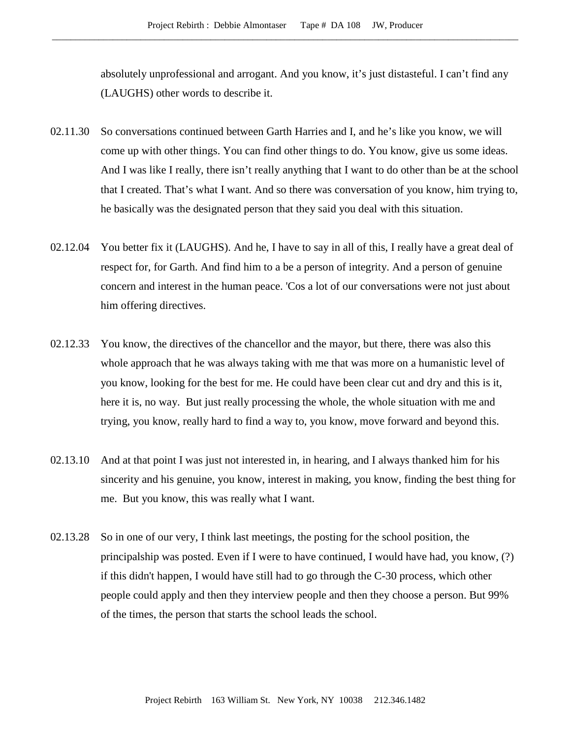absolutely unprofessional and arrogant. And you know, it's just distasteful. I can't find any (LAUGHS) other words to describe it.

- 02.11.30 So conversations continued between Garth Harries and I, and he's like you know, we will come up with other things. You can find other things to do. You know, give us some ideas. And I was like I really, there isn't really anything that I want to do other than be at the school that I created. That's what I want. And so there was conversation of you know, him trying to, he basically was the designated person that they said you deal with this situation.
- 02.12.04 You better fix it (LAUGHS). And he, I have to say in all of this, I really have a great deal of respect for, for Garth. And find him to a be a person of integrity. And a person of genuine concern and interest in the human peace. 'Cos a lot of our conversations were not just about him offering directives.
- 02.12.33 You know, the directives of the chancellor and the mayor, but there, there was also this whole approach that he was always taking with me that was more on a humanistic level of you know, looking for the best for me. He could have been clear cut and dry and this is it, here it is, no way. But just really processing the whole, the whole situation with me and trying, you know, really hard to find a way to, you know, move forward and beyond this.
- 02.13.10 And at that point I was just not interested in, in hearing, and I always thanked him for his sincerity and his genuine, you know, interest in making, you know, finding the best thing for me. But you know, this was really what I want.
- 02.13.28 So in one of our very, I think last meetings, the posting for the school position, the principalship was posted. Even if I were to have continued, I would have had, you know, (?) if this didn't happen, I would have still had to go through the C-30 process, which other people could apply and then they interview people and then they choose a person. But 99% of the times, the person that starts the school leads the school.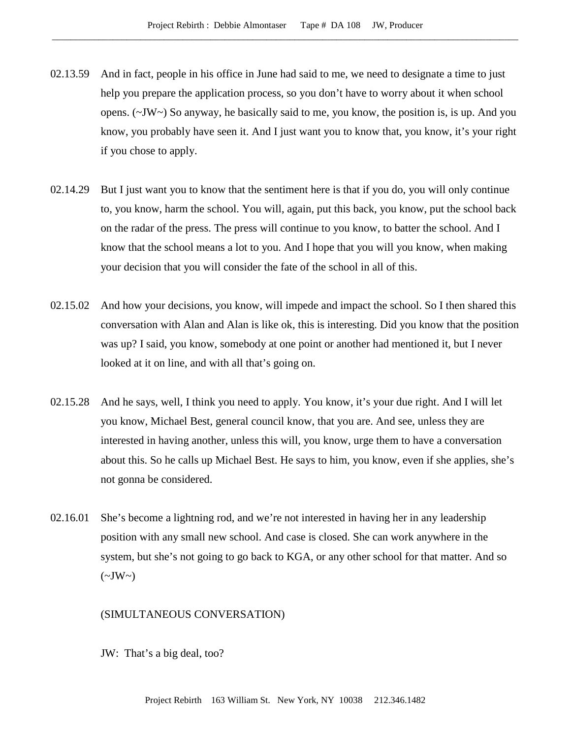- 02.13.59 And in fact, people in his office in June had said to me, we need to designate a time to just help you prepare the application process, so you don't have to worry about it when school opens. (~JW~) So anyway, he basically said to me, you know, the position is, is up. And you know, you probably have seen it. And I just want you to know that, you know, it's your right if you chose to apply.
- 02.14.29 But I just want you to know that the sentiment here is that if you do, you will only continue to, you know, harm the school. You will, again, put this back, you know, put the school back on the radar of the press. The press will continue to you know, to batter the school. And I know that the school means a lot to you. And I hope that you will you know, when making your decision that you will consider the fate of the school in all of this.
- 02.15.02 And how your decisions, you know, will impede and impact the school. So I then shared this conversation with Alan and Alan is like ok, this is interesting. Did you know that the position was up? I said, you know, somebody at one point or another had mentioned it, but I never looked at it on line, and with all that's going on.
- 02.15.28 And he says, well, I think you need to apply. You know, it's your due right. And I will let you know, Michael Best, general council know, that you are. And see, unless they are interested in having another, unless this will, you know, urge them to have a conversation about this. So he calls up Michael Best. He says to him, you know, even if she applies, she's not gonna be considered.
- 02.16.01 She's become a lightning rod, and we're not interested in having her in any leadership position with any small new school. And case is closed. She can work anywhere in the system, but she's not going to go back to KGA, or any other school for that matter. And so  $(\sim JW \sim)$

### (SIMULTANEOUS CONVERSATION)

JW: That's a big deal, too?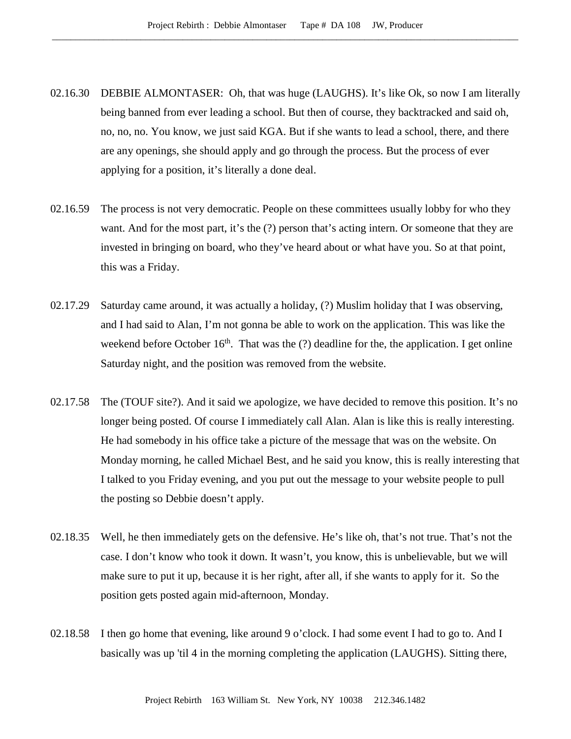- 02.16.30 DEBBIE ALMONTASER: Oh, that was huge (LAUGHS). It's like Ok, so now I am literally being banned from ever leading a school. But then of course, they backtracked and said oh, no, no, no. You know, we just said KGA. But if she wants to lead a school, there, and there are any openings, she should apply and go through the process. But the process of ever applying for a position, it's literally a done deal.
- 02.16.59 The process is not very democratic. People on these committees usually lobby for who they want. And for the most part, it's the (?) person that's acting intern. Or someone that they are invested in bringing on board, who they've heard about or what have you. So at that point, this was a Friday.
- 02.17.29 Saturday came around, it was actually a holiday, (?) Muslim holiday that I was observing, and I had said to Alan, I'm not gonna be able to work on the application. This was like the weekend before October  $16<sup>th</sup>$ . That was the (?) deadline for the, the application. I get online Saturday night, and the position was removed from the website.
- 02.17.58 The (TOUF site?). And it said we apologize, we have decided to remove this position. It's no longer being posted. Of course I immediately call Alan. Alan is like this is really interesting. He had somebody in his office take a picture of the message that was on the website. On Monday morning, he called Michael Best, and he said you know, this is really interesting that I talked to you Friday evening, and you put out the message to your website people to pull the posting so Debbie doesn't apply.
- 02.18.35 Well, he then immediately gets on the defensive. He's like oh, that's not true. That's not the case. I don't know who took it down. It wasn't, you know, this is unbelievable, but we will make sure to put it up, because it is her right, after all, if she wants to apply for it. So the position gets posted again mid-afternoon, Monday.
- 02.18.58 I then go home that evening, like around 9 o'clock. I had some event I had to go to. And I basically was up 'til 4 in the morning completing the application (LAUGHS). Sitting there,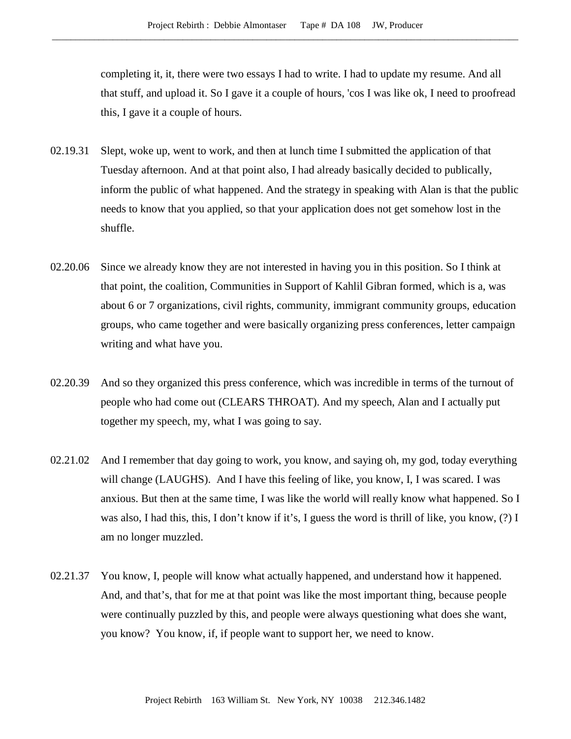completing it, it, there were two essays I had to write. I had to update my resume. And all that stuff, and upload it. So I gave it a couple of hours, 'cos I was like ok, I need to proofread this, I gave it a couple of hours.

- 02.19.31 Slept, woke up, went to work, and then at lunch time I submitted the application of that Tuesday afternoon. And at that point also, I had already basically decided to publically, inform the public of what happened. And the strategy in speaking with Alan is that the public needs to know that you applied, so that your application does not get somehow lost in the shuffle.
- 02.20.06 Since we already know they are not interested in having you in this position. So I think at that point, the coalition, Communities in Support of Kahlil Gibran formed, which is a, was about 6 or 7 organizations, civil rights, community, immigrant community groups, education groups, who came together and were basically organizing press conferences, letter campaign writing and what have you.
- 02.20.39 And so they organized this press conference, which was incredible in terms of the turnout of people who had come out (CLEARS THROAT). And my speech, Alan and I actually put together my speech, my, what I was going to say.
- 02.21.02 And I remember that day going to work, you know, and saying oh, my god, today everything will change (LAUGHS). And I have this feeling of like, you know, I, I was scared. I was anxious. But then at the same time, I was like the world will really know what happened. So I was also, I had this, this, I don't know if it's, I guess the word is thrill of like, you know, (?) I am no longer muzzled.
- 02.21.37 You know, I, people will know what actually happened, and understand how it happened. And, and that's, that for me at that point was like the most important thing, because people were continually puzzled by this, and people were always questioning what does she want, you know? You know, if, if people want to support her, we need to know.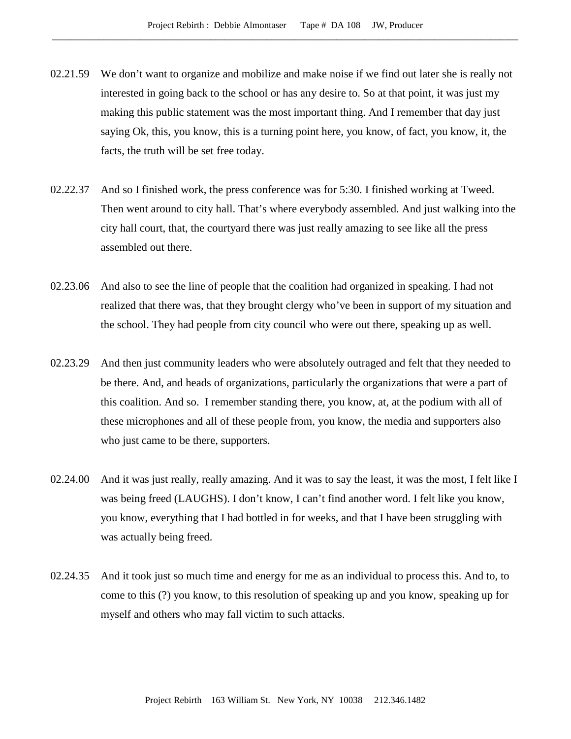- 02.21.59 We don't want to organize and mobilize and make noise if we find out later she is really not interested in going back to the school or has any desire to. So at that point, it was just my making this public statement was the most important thing. And I remember that day just saying Ok, this, you know, this is a turning point here, you know, of fact, you know, it, the facts, the truth will be set free today.
- 02.22.37 And so I finished work, the press conference was for 5:30. I finished working at Tweed. Then went around to city hall. That's where everybody assembled. And just walking into the city hall court, that, the courtyard there was just really amazing to see like all the press assembled out there.
- 02.23.06 And also to see the line of people that the coalition had organized in speaking. I had not realized that there was, that they brought clergy who've been in support of my situation and the school. They had people from city council who were out there, speaking up as well.
- 02.23.29 And then just community leaders who were absolutely outraged and felt that they needed to be there. And, and heads of organizations, particularly the organizations that were a part of this coalition. And so. I remember standing there, you know, at, at the podium with all of these microphones and all of these people from, you know, the media and supporters also who just came to be there, supporters.
- 02.24.00 And it was just really, really amazing. And it was to say the least, it was the most, I felt like I was being freed (LAUGHS). I don't know, I can't find another word. I felt like you know, you know, everything that I had bottled in for weeks, and that I have been struggling with was actually being freed.
- 02.24.35 And it took just so much time and energy for me as an individual to process this. And to, to come to this (?) you know, to this resolution of speaking up and you know, speaking up for myself and others who may fall victim to such attacks.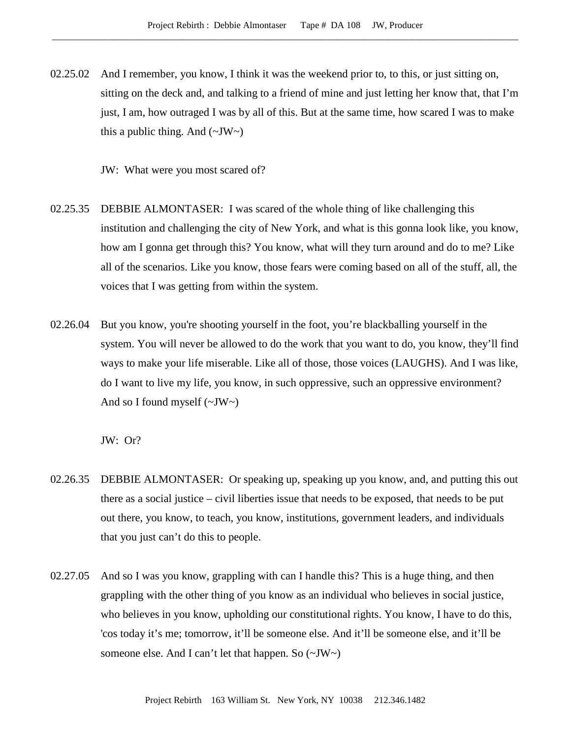02.25.02 And I remember, you know, I think it was the weekend prior to, to this, or just sitting on, sitting on the deck and, and talking to a friend of mine and just letting her know that, that I'm just, I am, how outraged I was by all of this. But at the same time, how scared I was to make this a public thing. And  $(\sim JW \sim)$ 

JW: What were you most scared of?

- 02.25.35 DEBBIE ALMONTASER: I was scared of the whole thing of like challenging this institution and challenging the city of New York, and what is this gonna look like, you know, how am I gonna get through this? You know, what will they turn around and do to me? Like all of the scenarios. Like you know, those fears were coming based on all of the stuff, all, the voices that I was getting from within the system.
- 02.26.04 But you know, you're shooting yourself in the foot, you're blackballing yourself in the system. You will never be allowed to do the work that you want to do, you know, they'll find ways to make your life miserable. Like all of those, those voices (LAUGHS). And I was like, do I want to live my life, you know, in such oppressive, such an oppressive environment? And so I found myself  $(\sim JW \sim)$

JW: Or?

- 02.26.35 DEBBIE ALMONTASER: Or speaking up, speaking up you know, and, and putting this out there as a social justice – civil liberties issue that needs to be exposed, that needs to be put out there, you know, to teach, you know, institutions, government leaders, and individuals that you just can't do this to people.
- 02.27.05 And so I was you know, grappling with can I handle this? This is a huge thing, and then grappling with the other thing of you know as an individual who believes in social justice, who believes in you know, upholding our constitutional rights. You know, I have to do this, 'cos today it's me; tomorrow, it'll be someone else. And it'll be someone else, and it'll be someone else. And I can't let that happen. So (~JW~)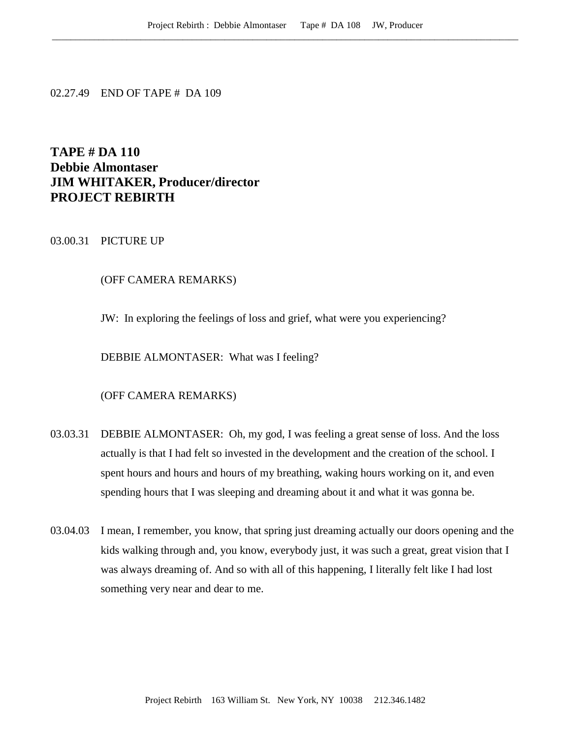02.27.49 END OF TAPE # DA 109

# **TAPE # DA 110 Debbie Almontaser JIM WHITAKER, Producer/director PROJECT REBIRTH**

# 03.00.31 PICTURE UP

### (OFF CAMERA REMARKS)

JW: In exploring the feelings of loss and grief, what were you experiencing?

DEBBIE ALMONTASER: What was I feeling?

### (OFF CAMERA REMARKS)

- 03.03.31 DEBBIE ALMONTASER: Oh, my god, I was feeling a great sense of loss. And the loss actually is that I had felt so invested in the development and the creation of the school. I spent hours and hours and hours of my breathing, waking hours working on it, and even spending hours that I was sleeping and dreaming about it and what it was gonna be.
- 03.04.03 I mean, I remember, you know, that spring just dreaming actually our doors opening and the kids walking through and, you know, everybody just, it was such a great, great vision that I was always dreaming of. And so with all of this happening, I literally felt like I had lost something very near and dear to me.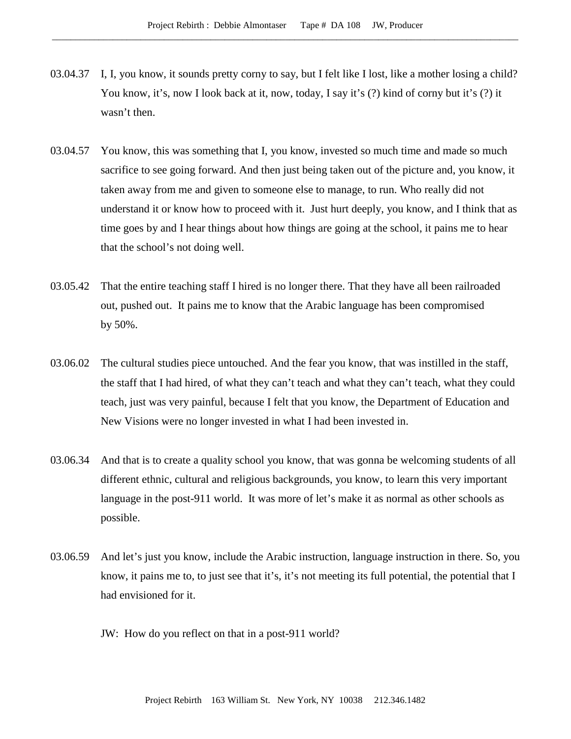- 03.04.37 I, I, you know, it sounds pretty corny to say, but I felt like I lost, like a mother losing a child? You know, it's, now I look back at it, now, today, I say it's (?) kind of corny but it's (?) it wasn't then.
- 03.04.57 You know, this was something that I, you know, invested so much time and made so much sacrifice to see going forward. And then just being taken out of the picture and, you know, it taken away from me and given to someone else to manage, to run. Who really did not understand it or know how to proceed with it. Just hurt deeply, you know, and I think that as time goes by and I hear things about how things are going at the school, it pains me to hear that the school's not doing well.
- 03.05.42 That the entire teaching staff I hired is no longer there. That they have all been railroaded out, pushed out. It pains me to know that the Arabic language has been compromised by 50%.
- 03.06.02 The cultural studies piece untouched. And the fear you know, that was instilled in the staff, the staff that I had hired, of what they can't teach and what they can't teach, what they could teach, just was very painful, because I felt that you know, the Department of Education and New Visions were no longer invested in what I had been invested in.
- 03.06.34 And that is to create a quality school you know, that was gonna be welcoming students of all different ethnic, cultural and religious backgrounds, you know, to learn this very important language in the post-911 world. It was more of let's make it as normal as other schools as possible.
- 03.06.59 And let's just you know, include the Arabic instruction, language instruction in there. So, you know, it pains me to, to just see that it's, it's not meeting its full potential, the potential that I had envisioned for it.
	- JW: How do you reflect on that in a post-911 world?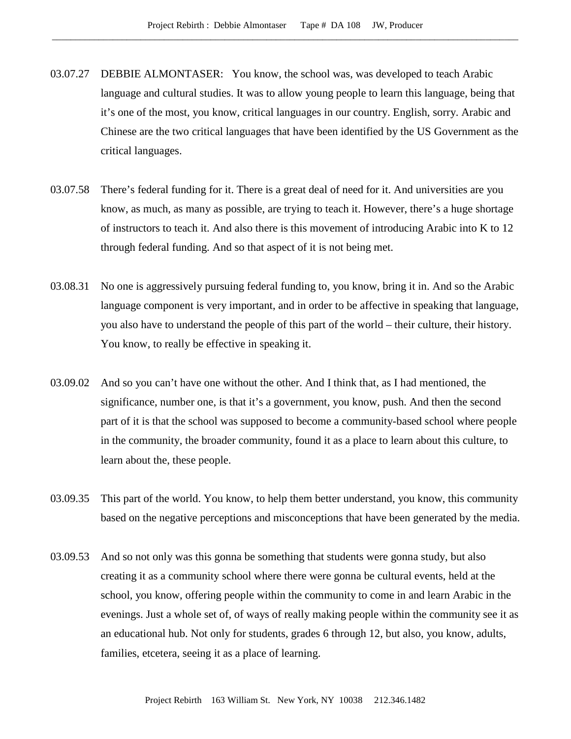- 03.07.27 DEBBIE ALMONTASER: You know, the school was, was developed to teach Arabic language and cultural studies. It was to allow young people to learn this language, being that it's one of the most, you know, critical languages in our country. English, sorry. Arabic and Chinese are the two critical languages that have been identified by the US Government as the critical languages.
- 03.07.58 There's federal funding for it. There is a great deal of need for it. And universities are you know, as much, as many as possible, are trying to teach it. However, there's a huge shortage of instructors to teach it. And also there is this movement of introducing Arabic into K to 12 through federal funding. And so that aspect of it is not being met.
- 03.08.31 No one is aggressively pursuing federal funding to, you know, bring it in. And so the Arabic language component is very important, and in order to be affective in speaking that language, you also have to understand the people of this part of the world – their culture, their history. You know, to really be effective in speaking it.
- 03.09.02 And so you can't have one without the other. And I think that, as I had mentioned, the significance, number one, is that it's a government, you know, push. And then the second part of it is that the school was supposed to become a community-based school where people in the community, the broader community, found it as a place to learn about this culture, to learn about the, these people.
- 03.09.35 This part of the world. You know, to help them better understand, you know, this community based on the negative perceptions and misconceptions that have been generated by the media.
- 03.09.53 And so not only was this gonna be something that students were gonna study, but also creating it as a community school where there were gonna be cultural events, held at the school, you know, offering people within the community to come in and learn Arabic in the evenings. Just a whole set of, of ways of really making people within the community see it as an educational hub. Not only for students, grades 6 through 12, but also, you know, adults, families, etcetera, seeing it as a place of learning.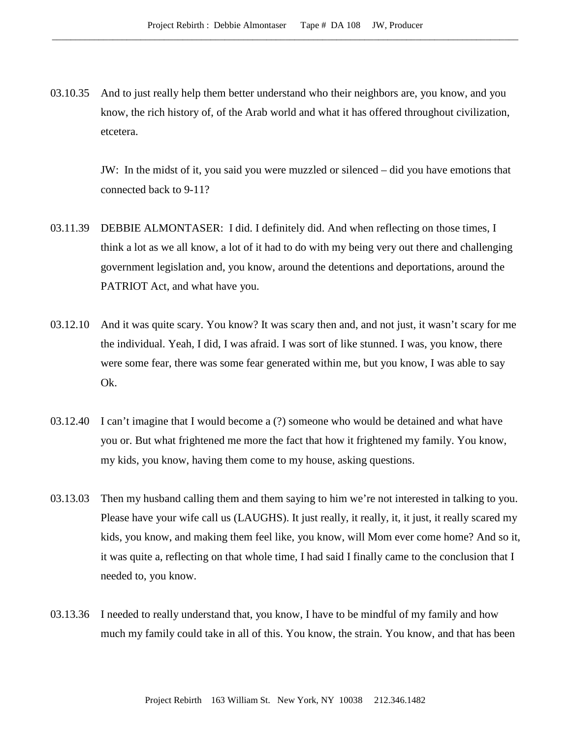03.10.35 And to just really help them better understand who their neighbors are, you know, and you know, the rich history of, of the Arab world and what it has offered throughout civilization, etcetera.

> JW: In the midst of it, you said you were muzzled or silenced – did you have emotions that connected back to 9-11?

- 03.11.39 DEBBIE ALMONTASER: I did. I definitely did. And when reflecting on those times, I think a lot as we all know, a lot of it had to do with my being very out there and challenging government legislation and, you know, around the detentions and deportations, around the PATRIOT Act, and what have you.
- 03.12.10 And it was quite scary. You know? It was scary then and, and not just, it wasn't scary for me the individual. Yeah, I did, I was afraid. I was sort of like stunned. I was, you know, there were some fear, there was some fear generated within me, but you know, I was able to say Ok.
- 03.12.40 I can't imagine that I would become a (?) someone who would be detained and what have you or. But what frightened me more the fact that how it frightened my family. You know, my kids, you know, having them come to my house, asking questions.
- 03.13.03 Then my husband calling them and them saying to him we're not interested in talking to you. Please have your wife call us (LAUGHS). It just really, it really, it, it just, it really scared my kids, you know, and making them feel like, you know, will Mom ever come home? And so it, it was quite a, reflecting on that whole time, I had said I finally came to the conclusion that I needed to, you know.
- 03.13.36 I needed to really understand that, you know, I have to be mindful of my family and how much my family could take in all of this. You know, the strain. You know, and that has been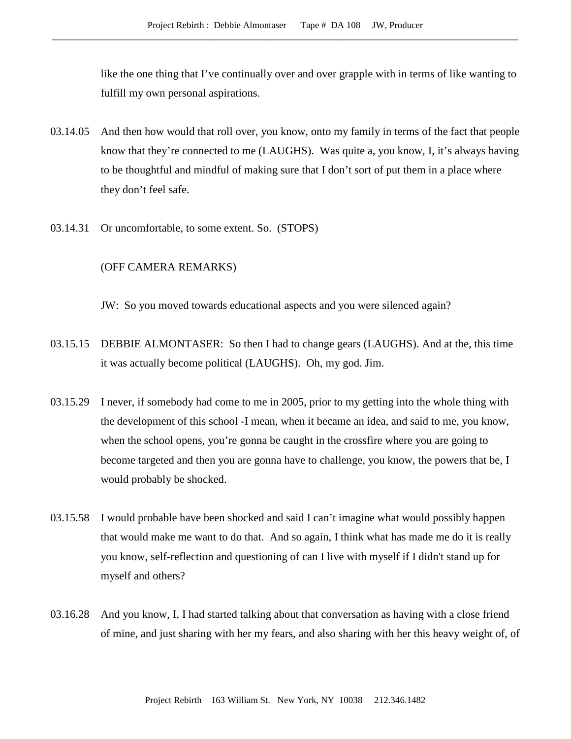like the one thing that I've continually over and over grapple with in terms of like wanting to fulfill my own personal aspirations.

- 03.14.05 And then how would that roll over, you know, onto my family in terms of the fact that people know that they're connected to me (LAUGHS). Was quite a, you know, I, it's always having to be thoughtful and mindful of making sure that I don't sort of put them in a place where they don't feel safe.
- 03.14.31 Or uncomfortable, to some extent. So. (STOPS)

### (OFF CAMERA REMARKS)

JW: So you moved towards educational aspects and you were silenced again?

- 03.15.15 DEBBIE ALMONTASER: So then I had to change gears (LAUGHS). And at the, this time it was actually become political (LAUGHS). Oh, my god. Jim.
- 03.15.29 I never, if somebody had come to me in 2005, prior to my getting into the whole thing with the development of this school -I mean, when it became an idea, and said to me, you know, when the school opens, you're gonna be caught in the crossfire where you are going to become targeted and then you are gonna have to challenge, you know, the powers that be, I would probably be shocked.
- 03.15.58 I would probable have been shocked and said I can't imagine what would possibly happen that would make me want to do that. And so again, I think what has made me do it is really you know, self-reflection and questioning of can I live with myself if I didn't stand up for myself and others?
- 03.16.28 And you know, I, I had started talking about that conversation as having with a close friend of mine, and just sharing with her my fears, and also sharing with her this heavy weight of, of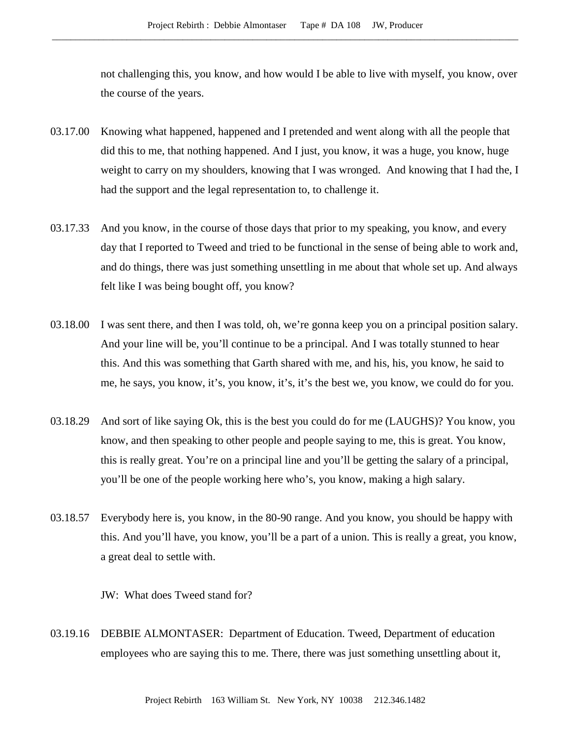not challenging this, you know, and how would I be able to live with myself, you know, over the course of the years.

- 03.17.00 Knowing what happened, happened and I pretended and went along with all the people that did this to me, that nothing happened. And I just, you know, it was a huge, you know, huge weight to carry on my shoulders, knowing that I was wronged. And knowing that I had the, I had the support and the legal representation to, to challenge it.
- 03.17.33 And you know, in the course of those days that prior to my speaking, you know, and every day that I reported to Tweed and tried to be functional in the sense of being able to work and, and do things, there was just something unsettling in me about that whole set up. And always felt like I was being bought off, you know?
- 03.18.00 I was sent there, and then I was told, oh, we're gonna keep you on a principal position salary. And your line will be, you'll continue to be a principal. And I was totally stunned to hear this. And this was something that Garth shared with me, and his, his, you know, he said to me, he says, you know, it's, you know, it's, it's the best we, you know, we could do for you.
- 03.18.29 And sort of like saying Ok, this is the best you could do for me (LAUGHS)? You know, you know, and then speaking to other people and people saying to me, this is great. You know, this is really great. You're on a principal line and you'll be getting the salary of a principal, you'll be one of the people working here who's, you know, making a high salary.
- 03.18.57 Everybody here is, you know, in the 80-90 range. And you know, you should be happy with this. And you'll have, you know, you'll be a part of a union. This is really a great, you know, a great deal to settle with.

JW: What does Tweed stand for?

03.19.16 DEBBIE ALMONTASER: Department of Education. Tweed, Department of education employees who are saying this to me. There, there was just something unsettling about it,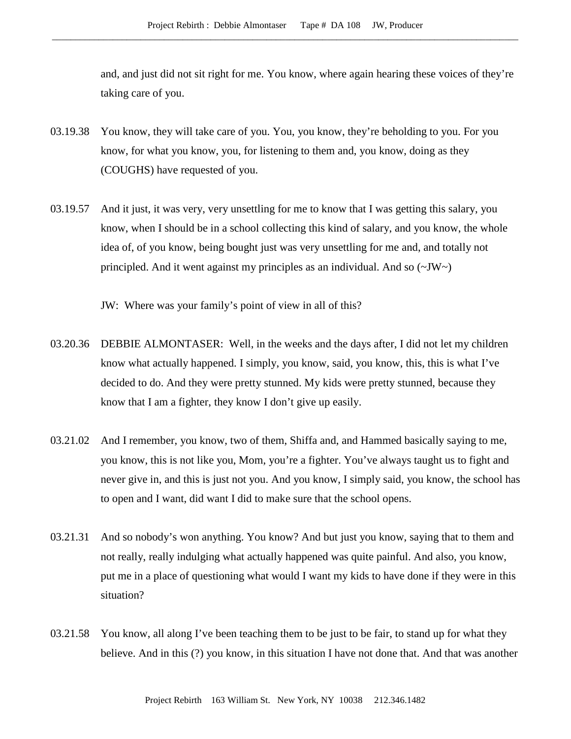and, and just did not sit right for me. You know, where again hearing these voices of they're taking care of you.

- 03.19.38 You know, they will take care of you. You, you know, they're beholding to you. For you know, for what you know, you, for listening to them and, you know, doing as they (COUGHS) have requested of you.
- 03.19.57 And it just, it was very, very unsettling for me to know that I was getting this salary, you know, when I should be in a school collecting this kind of salary, and you know, the whole idea of, of you know, being bought just was very unsettling for me and, and totally not principled. And it went against my principles as an individual. And so  $(\sim JW)$

JW: Where was your family's point of view in all of this?

- 03.20.36 DEBBIE ALMONTASER: Well, in the weeks and the days after, I did not let my children know what actually happened. I simply, you know, said, you know, this, this is what I've decided to do. And they were pretty stunned. My kids were pretty stunned, because they know that I am a fighter, they know I don't give up easily.
- 03.21.02 And I remember, you know, two of them, Shiffa and, and Hammed basically saying to me, you know, this is not like you, Mom, you're a fighter. You've always taught us to fight and never give in, and this is just not you. And you know, I simply said, you know, the school has to open and I want, did want I did to make sure that the school opens.
- 03.21.31 And so nobody's won anything. You know? And but just you know, saying that to them and not really, really indulging what actually happened was quite painful. And also, you know, put me in a place of questioning what would I want my kids to have done if they were in this situation?
- 03.21.58 You know, all along I've been teaching them to be just to be fair, to stand up for what they believe. And in this (?) you know, in this situation I have not done that. And that was another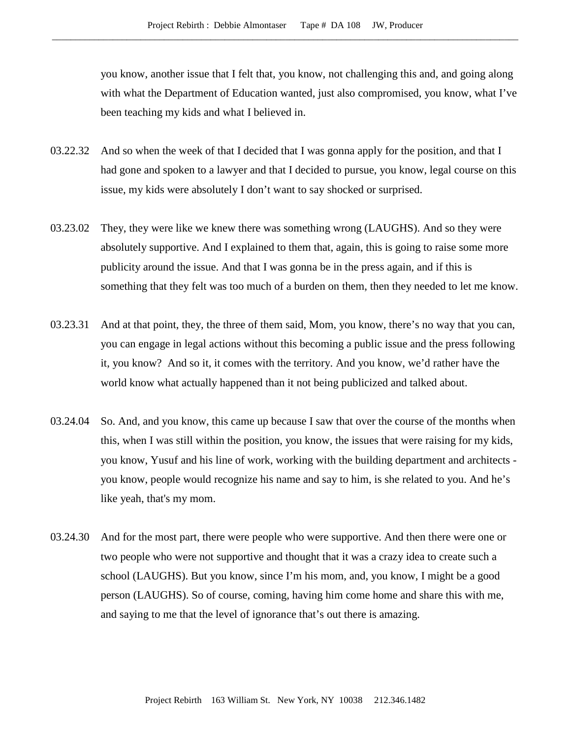you know, another issue that I felt that, you know, not challenging this and, and going along with what the Department of Education wanted, just also compromised, you know, what I've been teaching my kids and what I believed in.

- 03.22.32 And so when the week of that I decided that I was gonna apply for the position, and that I had gone and spoken to a lawyer and that I decided to pursue, you know, legal course on this issue, my kids were absolutely I don't want to say shocked or surprised.
- 03.23.02 They, they were like we knew there was something wrong (LAUGHS). And so they were absolutely supportive. And I explained to them that, again, this is going to raise some more publicity around the issue. And that I was gonna be in the press again, and if this is something that they felt was too much of a burden on them, then they needed to let me know.
- 03.23.31 And at that point, they, the three of them said, Mom, you know, there's no way that you can, you can engage in legal actions without this becoming a public issue and the press following it, you know? And so it, it comes with the territory. And you know, we'd rather have the world know what actually happened than it not being publicized and talked about.
- 03.24.04 So. And, and you know, this came up because I saw that over the course of the months when this, when I was still within the position, you know, the issues that were raising for my kids, you know, Yusuf and his line of work, working with the building department and architects you know, people would recognize his name and say to him, is she related to you. And he's like yeah, that's my mom.
- 03.24.30 And for the most part, there were people who were supportive. And then there were one or two people who were not supportive and thought that it was a crazy idea to create such a school (LAUGHS). But you know, since I'm his mom, and, you know, I might be a good person (LAUGHS). So of course, coming, having him come home and share this with me, and saying to me that the level of ignorance that's out there is amazing.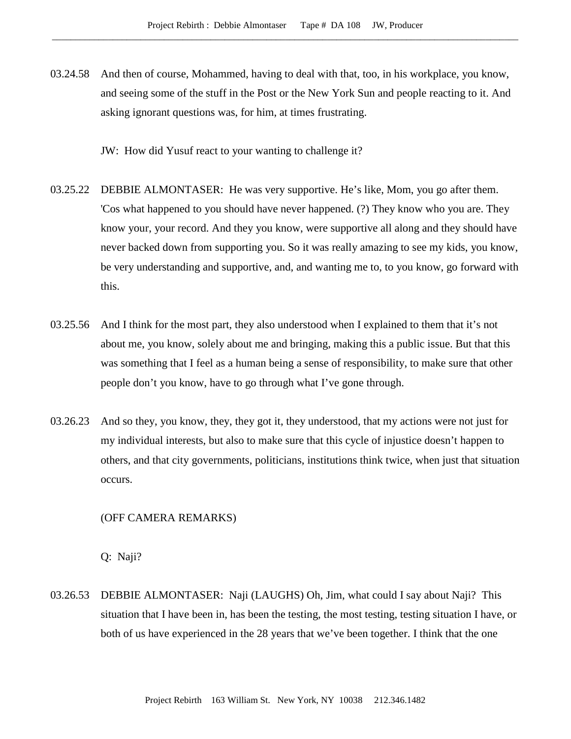03.24.58 And then of course, Mohammed, having to deal with that, too, in his workplace, you know, and seeing some of the stuff in the Post or the New York Sun and people reacting to it. And asking ignorant questions was, for him, at times frustrating.

JW: How did Yusuf react to your wanting to challenge it?

- 03.25.22 DEBBIE ALMONTASER: He was very supportive. He's like, Mom, you go after them. 'Cos what happened to you should have never happened. (?) They know who you are. They know your, your record. And they you know, were supportive all along and they should have never backed down from supporting you. So it was really amazing to see my kids, you know, be very understanding and supportive, and, and wanting me to, to you know, go forward with this.
- 03.25.56 And I think for the most part, they also understood when I explained to them that it's not about me, you know, solely about me and bringing, making this a public issue. But that this was something that I feel as a human being a sense of responsibility, to make sure that other people don't you know, have to go through what I've gone through.
- 03.26.23 And so they, you know, they, they got it, they understood, that my actions were not just for my individual interests, but also to make sure that this cycle of injustice doesn't happen to others, and that city governments, politicians, institutions think twice, when just that situation occurs.

### (OFF CAMERA REMARKS)

Q: Naji?

03.26.53 DEBBIE ALMONTASER: Naji (LAUGHS) Oh, Jim, what could I say about Naji? This situation that I have been in, has been the testing, the most testing, testing situation I have, or both of us have experienced in the 28 years that we've been together. I think that the one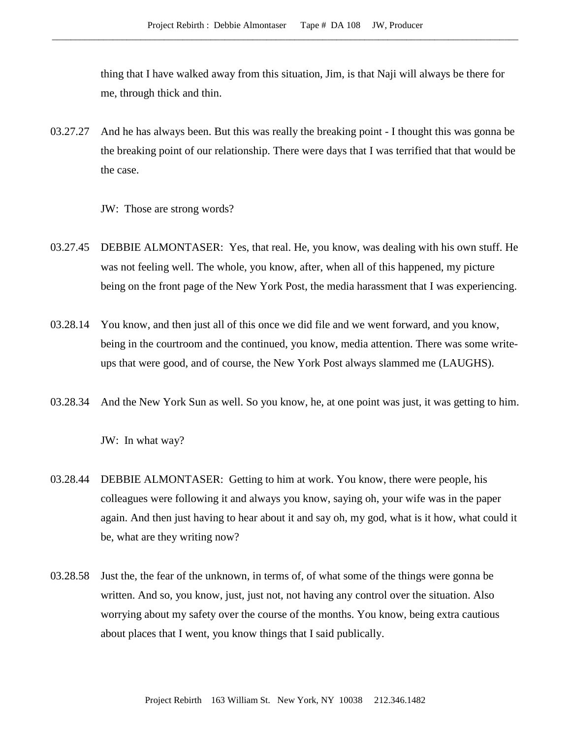thing that I have walked away from this situation, Jim, is that Naji will always be there for me, through thick and thin.

03.27.27 And he has always been. But this was really the breaking point - I thought this was gonna be the breaking point of our relationship. There were days that I was terrified that that would be the case.

JW: Those are strong words?

- 03.27.45 DEBBIE ALMONTASER: Yes, that real. He, you know, was dealing with his own stuff. He was not feeling well. The whole, you know, after, when all of this happened, my picture being on the front page of the New York Post, the media harassment that I was experiencing.
- 03.28.14 You know, and then just all of this once we did file and we went forward, and you know, being in the courtroom and the continued, you know, media attention. There was some writeups that were good, and of course, the New York Post always slammed me (LAUGHS).
- 03.28.34 And the New York Sun as well. So you know, he, at one point was just, it was getting to him.

JW: In what way?

- 03.28.44 DEBBIE ALMONTASER: Getting to him at work. You know, there were people, his colleagues were following it and always you know, saying oh, your wife was in the paper again. And then just having to hear about it and say oh, my god, what is it how, what could it be, what are they writing now?
- 03.28.58 Just the, the fear of the unknown, in terms of, of what some of the things were gonna be written. And so, you know, just, just not, not having any control over the situation. Also worrying about my safety over the course of the months. You know, being extra cautious about places that I went, you know things that I said publically.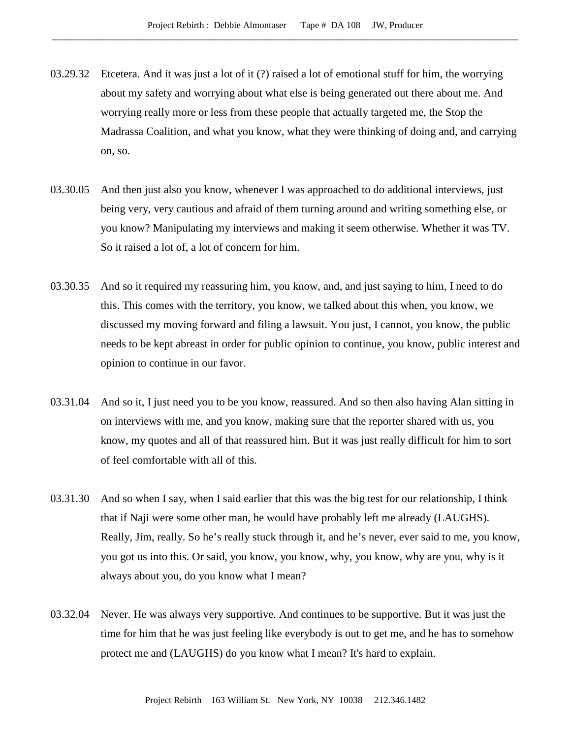- 03.29.32 Etcetera. And it was just a lot of it (?) raised a lot of emotional stuff for him, the worrying about my safety and worrying about what else is being generated out there about me. And worrying really more or less from these people that actually targeted me, the Stop the Madrassa Coalition, and what you know, what they were thinking of doing and, and carrying on, so.
- 03.30.05 And then just also you know, whenever I was approached to do additional interviews, just being very, very cautious and afraid of them turning around and writing something else, or you know? Manipulating my interviews and making it seem otherwise. Whether it was TV. So it raised a lot of, a lot of concern for him.
- 03.30.35 And so it required my reassuring him, you know, and, and just saying to him, I need to do this. This comes with the territory, you know, we talked about this when, you know, we discussed my moving forward and filing a lawsuit. You just, I cannot, you know, the public needs to be kept abreast in order for public opinion to continue, you know, public interest and opinion to continue in our favor.
- 03.31.04 And so it, I just need you to be you know, reassured. And so then also having Alan sitting in on interviews with me, and you know, making sure that the reporter shared with us, you know, my quotes and all of that reassured him. But it was just really difficult for him to sort of feel comfortable with all of this.
- 03.31.30 And so when I say, when I said earlier that this was the big test for our relationship, I think that if Naji were some other man, he would have probably left me already (LAUGHS). Really, Jim, really. So he's really stuck through it, and he's never, ever said to me, you know, you got us into this. Or said, you know, you know, why, you know, why are you, why is it always about you, do you know what I mean?
- 03.32.04 Never. He was always very supportive. And continues to be supportive. But it was just the time for him that he was just feeling like everybody is out to get me, and he has to somehow protect me and (LAUGHS) do you know what I mean? It's hard to explain.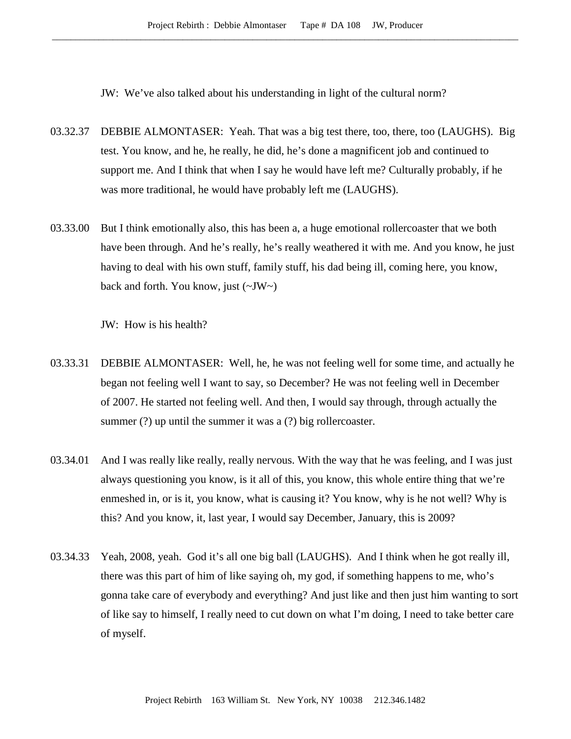JW: We've also talked about his understanding in light of the cultural norm?

- 03.32.37 DEBBIE ALMONTASER: Yeah. That was a big test there, too, there, too (LAUGHS). Big test. You know, and he, he really, he did, he's done a magnificent job and continued to support me. And I think that when I say he would have left me? Culturally probably, if he was more traditional, he would have probably left me (LAUGHS).
- 03.33.00 But I think emotionally also, this has been a, a huge emotional rollercoaster that we both have been through. And he's really, he's really weathered it with me. And you know, he just having to deal with his own stuff, family stuff, his dad being ill, coming here, you know, back and forth. You know, just  $(\sim JW)$

JW: How is his health?

- 03.33.31 DEBBIE ALMONTASER: Well, he, he was not feeling well for some time, and actually he began not feeling well I want to say, so December? He was not feeling well in December of 2007. He started not feeling well. And then, I would say through, through actually the summer (?) up until the summer it was a (?) big rollercoaster.
- 03.34.01 And I was really like really, really nervous. With the way that he was feeling, and I was just always questioning you know, is it all of this, you know, this whole entire thing that we're enmeshed in, or is it, you know, what is causing it? You know, why is he not well? Why is this? And you know, it, last year, I would say December, January, this is 2009?
- 03.34.33 Yeah, 2008, yeah. God it's all one big ball (LAUGHS). And I think when he got really ill, there was this part of him of like saying oh, my god, if something happens to me, who's gonna take care of everybody and everything? And just like and then just him wanting to sort of like say to himself, I really need to cut down on what I'm doing, I need to take better care of myself.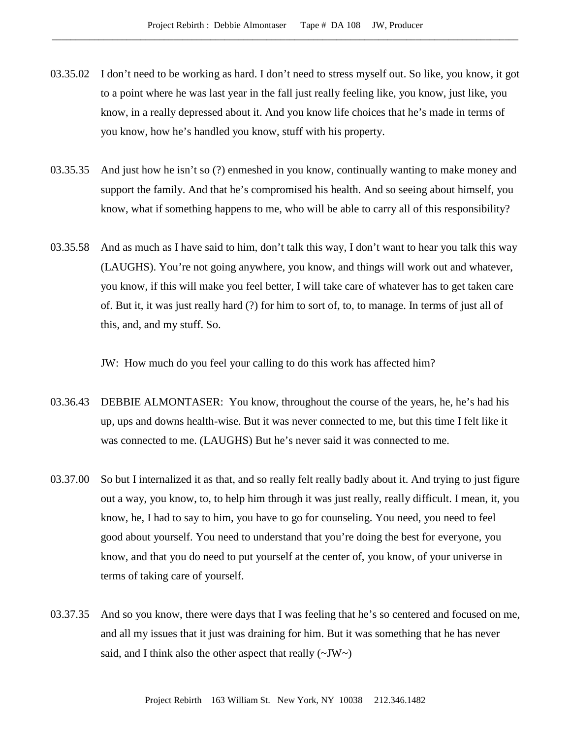- 03.35.02 I don't need to be working as hard. I don't need to stress myself out. So like, you know, it got to a point where he was last year in the fall just really feeling like, you know, just like, you know, in a really depressed about it. And you know life choices that he's made in terms of you know, how he's handled you know, stuff with his property.
- 03.35.35 And just how he isn't so (?) enmeshed in you know, continually wanting to make money and support the family. And that he's compromised his health. And so seeing about himself, you know, what if something happens to me, who will be able to carry all of this responsibility?
- 03.35.58 And as much as I have said to him, don't talk this way, I don't want to hear you talk this way (LAUGHS). You're not going anywhere, you know, and things will work out and whatever, you know, if this will make you feel better, I will take care of whatever has to get taken care of. But it, it was just really hard (?) for him to sort of, to, to manage. In terms of just all of this, and, and my stuff. So.

JW: How much do you feel your calling to do this work has affected him?

- 03.36.43 DEBBIE ALMONTASER: You know, throughout the course of the years, he, he's had his up, ups and downs health-wise. But it was never connected to me, but this time I felt like it was connected to me. (LAUGHS) But he's never said it was connected to me.
- 03.37.00 So but I internalized it as that, and so really felt really badly about it. And trying to just figure out a way, you know, to, to help him through it was just really, really difficult. I mean, it, you know, he, I had to say to him, you have to go for counseling. You need, you need to feel good about yourself. You need to understand that you're doing the best for everyone, you know, and that you do need to put yourself at the center of, you know, of your universe in terms of taking care of yourself.
- 03.37.35 And so you know, there were days that I was feeling that he's so centered and focused on me, and all my issues that it just was draining for him. But it was something that he has never said, and I think also the other aspect that really  $(\sim JW \sim)$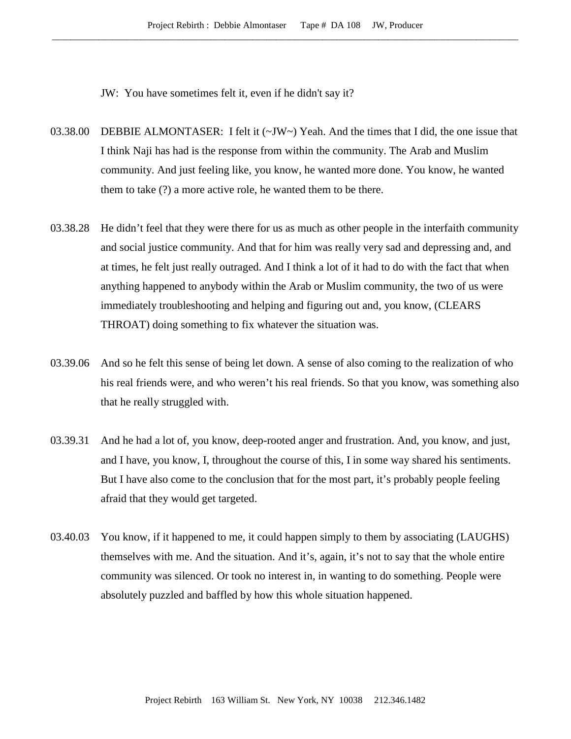JW: You have sometimes felt it, even if he didn't say it?

- 03.38.00 DEBBIE ALMONTASER: I felt it (~JW~) Yeah. And the times that I did, the one issue that I think Naji has had is the response from within the community. The Arab and Muslim community. And just feeling like, you know, he wanted more done. You know, he wanted them to take (?) a more active role, he wanted them to be there.
- 03.38.28 He didn't feel that they were there for us as much as other people in the interfaith community and social justice community. And that for him was really very sad and depressing and, and at times, he felt just really outraged. And I think a lot of it had to do with the fact that when anything happened to anybody within the Arab or Muslim community, the two of us were immediately troubleshooting and helping and figuring out and, you know, (CLEARS THROAT) doing something to fix whatever the situation was.
- 03.39.06 And so he felt this sense of being let down. A sense of also coming to the realization of who his real friends were, and who weren't his real friends. So that you know, was something also that he really struggled with.
- 03.39.31 And he had a lot of, you know, deep-rooted anger and frustration. And, you know, and just, and I have, you know, I, throughout the course of this, I in some way shared his sentiments. But I have also come to the conclusion that for the most part, it's probably people feeling afraid that they would get targeted.
- 03.40.03 You know, if it happened to me, it could happen simply to them by associating (LAUGHS) themselves with me. And the situation. And it's, again, it's not to say that the whole entire community was silenced. Or took no interest in, in wanting to do something. People were absolutely puzzled and baffled by how this whole situation happened.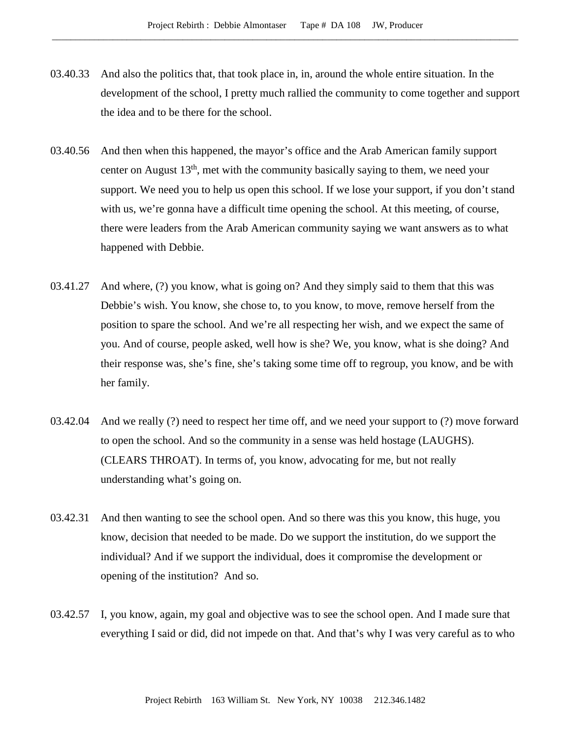- 03.40.33 And also the politics that, that took place in, in, around the whole entire situation. In the development of the school, I pretty much rallied the community to come together and support the idea and to be there for the school.
- 03.40.56 And then when this happened, the mayor's office and the Arab American family support center on August 13th, met with the community basically saying to them, we need your support. We need you to help us open this school. If we lose your support, if you don't stand with us, we're gonna have a difficult time opening the school. At this meeting, of course, there were leaders from the Arab American community saying we want answers as to what happened with Debbie.
- 03.41.27 And where, (?) you know, what is going on? And they simply said to them that this was Debbie's wish. You know, she chose to, to you know, to move, remove herself from the position to spare the school. And we're all respecting her wish, and we expect the same of you. And of course, people asked, well how is she? We, you know, what is she doing? And their response was, she's fine, she's taking some time off to regroup, you know, and be with her family.
- 03.42.04 And we really (?) need to respect her time off, and we need your support to (?) move forward to open the school. And so the community in a sense was held hostage (LAUGHS). (CLEARS THROAT). In terms of, you know, advocating for me, but not really understanding what's going on.
- 03.42.31 And then wanting to see the school open. And so there was this you know, this huge, you know, decision that needed to be made. Do we support the institution, do we support the individual? And if we support the individual, does it compromise the development or opening of the institution? And so.
- 03.42.57 I, you know, again, my goal and objective was to see the school open. And I made sure that everything I said or did, did not impede on that. And that's why I was very careful as to who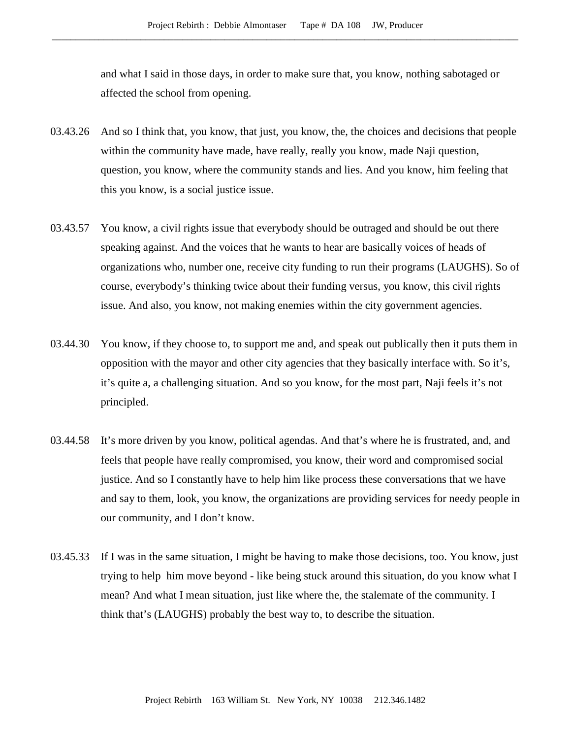and what I said in those days, in order to make sure that, you know, nothing sabotaged or affected the school from opening.

- 03.43.26 And so I think that, you know, that just, you know, the, the choices and decisions that people within the community have made, have really, really you know, made Naji question, question, you know, where the community stands and lies. And you know, him feeling that this you know, is a social justice issue.
- 03.43.57 You know, a civil rights issue that everybody should be outraged and should be out there speaking against. And the voices that he wants to hear are basically voices of heads of organizations who, number one, receive city funding to run their programs (LAUGHS). So of course, everybody's thinking twice about their funding versus, you know, this civil rights issue. And also, you know, not making enemies within the city government agencies.
- 03.44.30 You know, if they choose to, to support me and, and speak out publically then it puts them in opposition with the mayor and other city agencies that they basically interface with. So it's, it's quite a, a challenging situation. And so you know, for the most part, Naji feels it's not principled.
- 03.44.58 It's more driven by you know, political agendas. And that's where he is frustrated, and, and feels that people have really compromised, you know, their word and compromised social justice. And so I constantly have to help him like process these conversations that we have and say to them, look, you know, the organizations are providing services for needy people in our community, and I don't know.
- 03.45.33 If I was in the same situation, I might be having to make those decisions, too. You know, just trying to help him move beyond - like being stuck around this situation, do you know what I mean? And what I mean situation, just like where the, the stalemate of the community. I think that's (LAUGHS) probably the best way to, to describe the situation.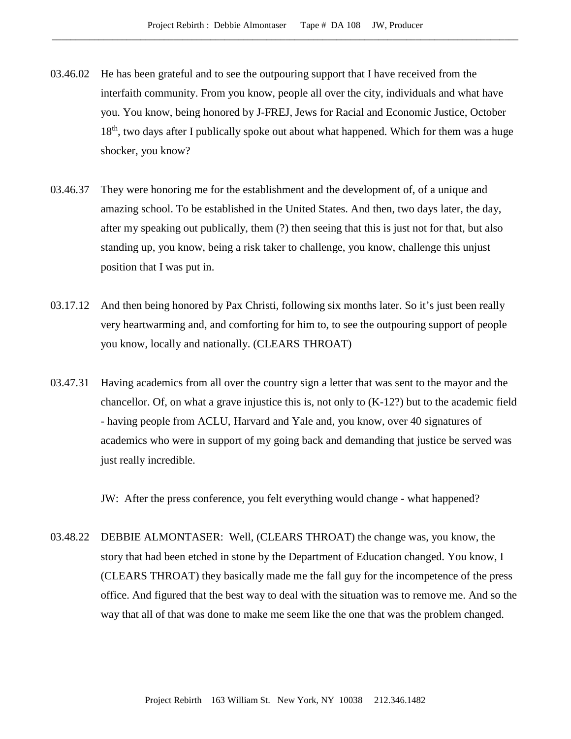- 03.46.02 He has been grateful and to see the outpouring support that I have received from the interfaith community. From you know, people all over the city, individuals and what have you. You know, being honored by J-FREJ, Jews for Racial and Economic Justice, October 18<sup>th</sup>, two days after I publically spoke out about what happened. Which for them was a huge shocker, you know?
- 03.46.37 They were honoring me for the establishment and the development of, of a unique and amazing school. To be established in the United States. And then, two days later, the day, after my speaking out publically, them (?) then seeing that this is just not for that, but also standing up, you know, being a risk taker to challenge, you know, challenge this unjust position that I was put in.
- 03.17.12 And then being honored by Pax Christi, following six months later. So it's just been really very heartwarming and, and comforting for him to, to see the outpouring support of people you know, locally and nationally. (CLEARS THROAT)
- 03.47.31 Having academics from all over the country sign a letter that was sent to the mayor and the chancellor. Of, on what a grave injustice this is, not only to (K-12?) but to the academic field - having people from ACLU, Harvard and Yale and, you know, over 40 signatures of academics who were in support of my going back and demanding that justice be served was just really incredible.

JW: After the press conference, you felt everything would change - what happened?

03.48.22 DEBBIE ALMONTASER: Well, (CLEARS THROAT) the change was, you know, the story that had been etched in stone by the Department of Education changed. You know, I (CLEARS THROAT) they basically made me the fall guy for the incompetence of the press office. And figured that the best way to deal with the situation was to remove me. And so the way that all of that was done to make me seem like the one that was the problem changed.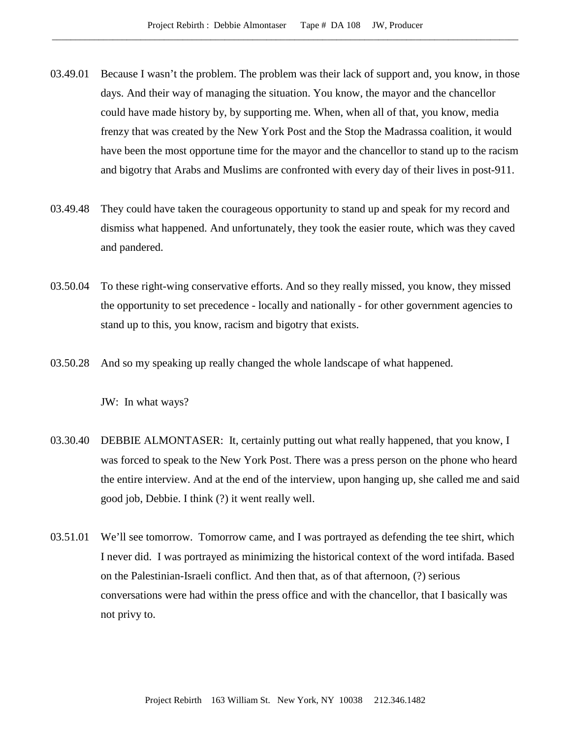- 03.49.01 Because I wasn't the problem. The problem was their lack of support and, you know, in those days. And their way of managing the situation. You know, the mayor and the chancellor could have made history by, by supporting me. When, when all of that, you know, media frenzy that was created by the New York Post and the Stop the Madrassa coalition, it would have been the most opportune time for the mayor and the chancellor to stand up to the racism and bigotry that Arabs and Muslims are confronted with every day of their lives in post-911.
- 03.49.48 They could have taken the courageous opportunity to stand up and speak for my record and dismiss what happened. And unfortunately, they took the easier route, which was they caved and pandered.
- 03.50.04 To these right-wing conservative efforts. And so they really missed, you know, they missed the opportunity to set precedence - locally and nationally - for other government agencies to stand up to this, you know, racism and bigotry that exists.
- 03.50.28 And so my speaking up really changed the whole landscape of what happened.

JW: In what ways?

- 03.30.40 DEBBIE ALMONTASER: It, certainly putting out what really happened, that you know, I was forced to speak to the New York Post. There was a press person on the phone who heard the entire interview. And at the end of the interview, upon hanging up, she called me and said good job, Debbie. I think (?) it went really well.
- 03.51.01 We'll see tomorrow. Tomorrow came, and I was portrayed as defending the tee shirt, which I never did. I was portrayed as minimizing the historical context of the word intifada. Based on the Palestinian-Israeli conflict. And then that, as of that afternoon, (?) serious conversations were had within the press office and with the chancellor, that I basically was not privy to.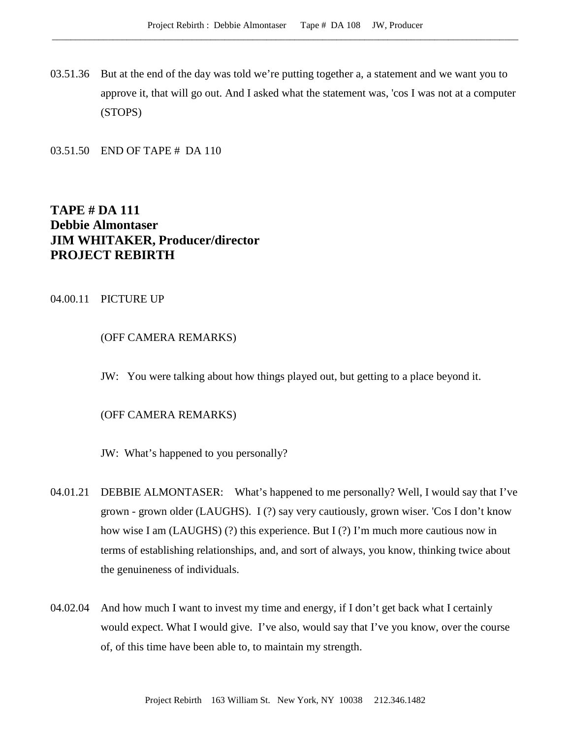03.51.36 But at the end of the day was told we're putting together a, a statement and we want you to approve it, that will go out. And I asked what the statement was, 'cos I was not at a computer (STOPS)

03.51.50 END OF TAPE # DA 110

# **TAPE # DA 111 Debbie Almontaser JIM WHITAKER, Producer/director PROJECT REBIRTH**

## 04.00.11 PICTURE UP

# (OFF CAMERA REMARKS)

JW: You were talking about how things played out, but getting to a place beyond it.

## (OFF CAMERA REMARKS)

JW: What's happened to you personally?

- 04.01.21 DEBBIE ALMONTASER: What's happened to me personally? Well, I would say that I've grown - grown older (LAUGHS). I (?) say very cautiously, grown wiser. 'Cos I don't know how wise I am (LAUGHS) (?) this experience. But I (?) I'm much more cautious now in terms of establishing relationships, and, and sort of always, you know, thinking twice about the genuineness of individuals.
- 04.02.04 And how much I want to invest my time and energy, if I don't get back what I certainly would expect. What I would give. I've also, would say that I've you know, over the course of, of this time have been able to, to maintain my strength.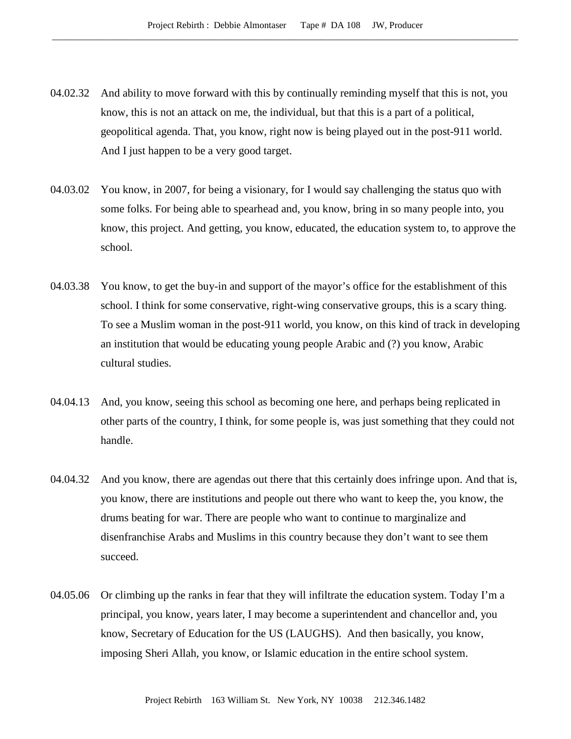- 04.02.32 And ability to move forward with this by continually reminding myself that this is not, you know, this is not an attack on me, the individual, but that this is a part of a political, geopolitical agenda. That, you know, right now is being played out in the post-911 world. And I just happen to be a very good target.
- 04.03.02 You know, in 2007, for being a visionary, for I would say challenging the status quo with some folks. For being able to spearhead and, you know, bring in so many people into, you know, this project. And getting, you know, educated, the education system to, to approve the school.
- 04.03.38 You know, to get the buy-in and support of the mayor's office for the establishment of this school. I think for some conservative, right-wing conservative groups, this is a scary thing. To see a Muslim woman in the post-911 world, you know, on this kind of track in developing an institution that would be educating young people Arabic and (?) you know, Arabic cultural studies.
- 04.04.13 And, you know, seeing this school as becoming one here, and perhaps being replicated in other parts of the country, I think, for some people is, was just something that they could not handle.
- 04.04.32 And you know, there are agendas out there that this certainly does infringe upon. And that is, you know, there are institutions and people out there who want to keep the, you know, the drums beating for war. There are people who want to continue to marginalize and disenfranchise Arabs and Muslims in this country because they don't want to see them succeed.
- 04.05.06 Or climbing up the ranks in fear that they will infiltrate the education system. Today I'm a principal, you know, years later, I may become a superintendent and chancellor and, you know, Secretary of Education for the US (LAUGHS). And then basically, you know, imposing Sheri Allah, you know, or Islamic education in the entire school system.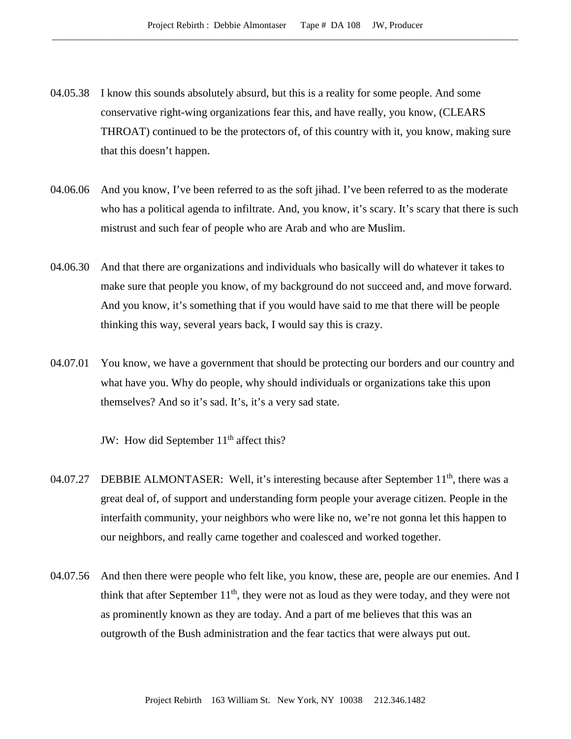- 04.05.38 I know this sounds absolutely absurd, but this is a reality for some people. And some conservative right-wing organizations fear this, and have really, you know, (CLEARS THROAT) continued to be the protectors of, of this country with it, you know, making sure that this doesn't happen.
- 04.06.06 And you know, I've been referred to as the soft jihad. I've been referred to as the moderate who has a political agenda to infiltrate. And, you know, it's scary. It's scary that there is such mistrust and such fear of people who are Arab and who are Muslim.
- 04.06.30 And that there are organizations and individuals who basically will do whatever it takes to make sure that people you know, of my background do not succeed and, and move forward. And you know, it's something that if you would have said to me that there will be people thinking this way, several years back, I would say this is crazy.
- 04.07.01 You know, we have a government that should be protecting our borders and our country and what have you. Why do people, why should individuals or organizations take this upon themselves? And so it's sad. It's, it's a very sad state.

JW: How did September 11<sup>th</sup> affect this?

- 04.07.27 DEBBIE ALMONTASER: Well, it's interesting because after September  $11<sup>th</sup>$ , there was a great deal of, of support and understanding form people your average citizen. People in the interfaith community, your neighbors who were like no, we're not gonna let this happen to our neighbors, and really came together and coalesced and worked together.
- 04.07.56 And then there were people who felt like, you know, these are, people are our enemies. And I think that after September  $11<sup>th</sup>$ , they were not as loud as they were today, and they were not as prominently known as they are today. And a part of me believes that this was an outgrowth of the Bush administration and the fear tactics that were always put out.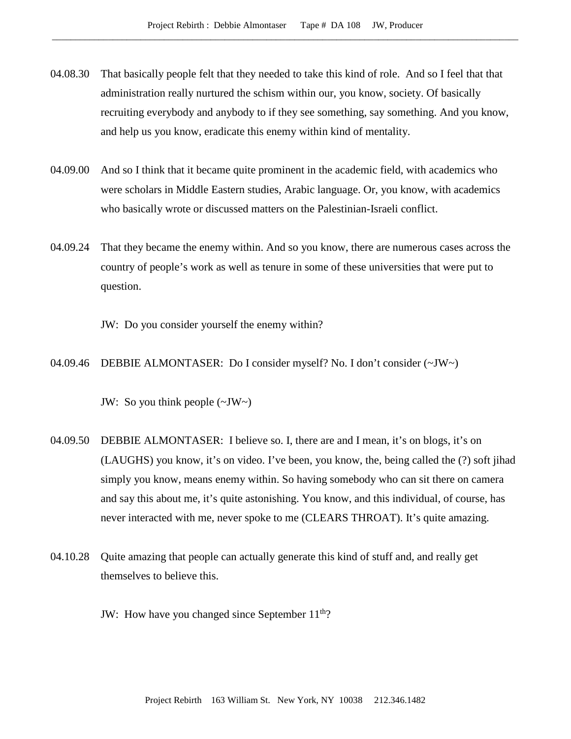- 04.08.30 That basically people felt that they needed to take this kind of role. And so I feel that that administration really nurtured the schism within our, you know, society. Of basically recruiting everybody and anybody to if they see something, say something. And you know, and help us you know, eradicate this enemy within kind of mentality.
- 04.09.00 And so I think that it became quite prominent in the academic field, with academics who were scholars in Middle Eastern studies, Arabic language. Or, you know, with academics who basically wrote or discussed matters on the Palestinian-Israeli conflict.
- 04.09.24 That they became the enemy within. And so you know, there are numerous cases across the country of people's work as well as tenure in some of these universities that were put to question.

JW: Do you consider yourself the enemy within?

04.09.46 DEBBIE ALMONTASER: Do I consider myself? No. I don't consider (~JW~)

JW: So you think people  $(\sim JW)$ 

- 04.09.50 DEBBIE ALMONTASER: I believe so. I, there are and I mean, it's on blogs, it's on (LAUGHS) you know, it's on video. I've been, you know, the, being called the (?) soft jihad simply you know, means enemy within. So having somebody who can sit there on camera and say this about me, it's quite astonishing. You know, and this individual, of course, has never interacted with me, never spoke to me (CLEARS THROAT). It's quite amazing.
- 04.10.28 Quite amazing that people can actually generate this kind of stuff and, and really get themselves to believe this.
	- JW: How have you changed since September  $11<sup>th</sup>$ ?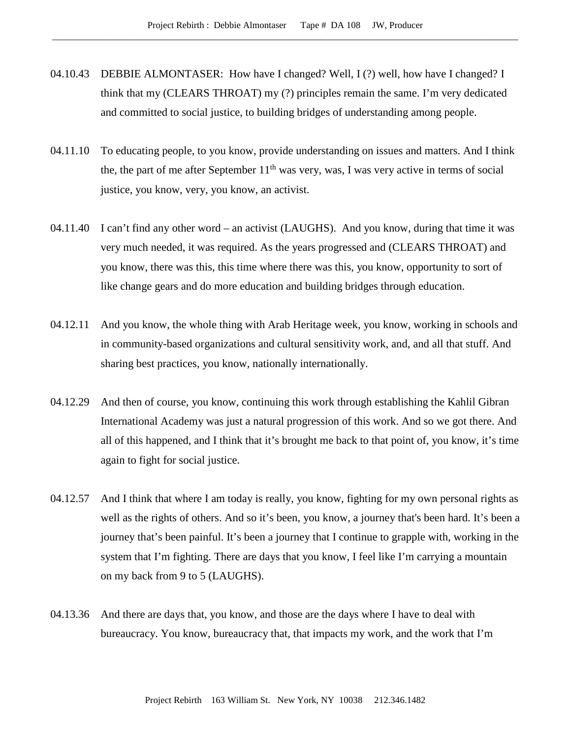- 04.10.43 DEBBIE ALMONTASER: How have I changed? Well, I (?) well, how have I changed? I think that my (CLEARS THROAT) my (?) principles remain the same. I'm very dedicated and committed to social justice, to building bridges of understanding among people.
- 04.11.10 To educating people, to you know, provide understanding on issues and matters. And I think the, the part of me after September  $11<sup>th</sup>$  was very, was, I was very active in terms of social justice, you know, very, you know, an activist.
- 04.11.40 I can't find any other word an activist (LAUGHS). And you know, during that time it was very much needed, it was required. As the years progressed and (CLEARS THROAT) and you know, there was this, this time where there was this, you know, opportunity to sort of like change gears and do more education and building bridges through education.
- 04.12.11 And you know, the whole thing with Arab Heritage week, you know, working in schools and in community-based organizations and cultural sensitivity work, and, and all that stuff. And sharing best practices, you know, nationally internationally.
- 04.12.29 And then of course, you know, continuing this work through establishing the Kahlil Gibran International Academy was just a natural progression of this work. And so we got there. And all of this happened, and I think that it's brought me back to that point of, you know, it's time again to fight for social justice.
- 04.12.57 And I think that where I am today is really, you know, fighting for my own personal rights as well as the rights of others. And so it's been, you know, a journey that's been hard. It's been a journey that's been painful. It's been a journey that I continue to grapple with, working in the system that I'm fighting. There are days that you know, I feel like I'm carrying a mountain on my back from 9 to 5 (LAUGHS).
- 04.13.36 And there are days that, you know, and those are the days where I have to deal with bureaucracy. You know, bureaucracy that, that impacts my work, and the work that I'm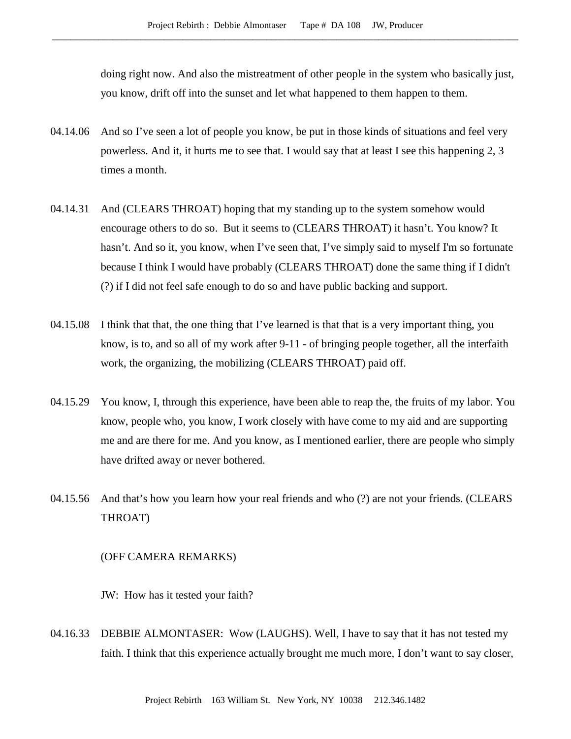doing right now. And also the mistreatment of other people in the system who basically just, you know, drift off into the sunset and let what happened to them happen to them.

- 04.14.06 And so I've seen a lot of people you know, be put in those kinds of situations and feel very powerless. And it, it hurts me to see that. I would say that at least I see this happening 2, 3 times a month.
- 04.14.31 And (CLEARS THROAT) hoping that my standing up to the system somehow would encourage others to do so. But it seems to (CLEARS THROAT) it hasn't. You know? It hasn't. And so it, you know, when I've seen that, I've simply said to myself I'm so fortunate because I think I would have probably (CLEARS THROAT) done the same thing if I didn't (?) if I did not feel safe enough to do so and have public backing and support.
- 04.15.08 I think that that, the one thing that I've learned is that that is a very important thing, you know, is to, and so all of my work after 9-11 - of bringing people together, all the interfaith work, the organizing, the mobilizing (CLEARS THROAT) paid off.
- 04.15.29 You know, I, through this experience, have been able to reap the, the fruits of my labor. You know, people who, you know, I work closely with have come to my aid and are supporting me and are there for me. And you know, as I mentioned earlier, there are people who simply have drifted away or never bothered.
- 04.15.56 And that's how you learn how your real friends and who (?) are not your friends. (CLEARS THROAT)

## (OFF CAMERA REMARKS)

JW: How has it tested your faith?

04.16.33 DEBBIE ALMONTASER: Wow (LAUGHS). Well, I have to say that it has not tested my faith. I think that this experience actually brought me much more, I don't want to say closer,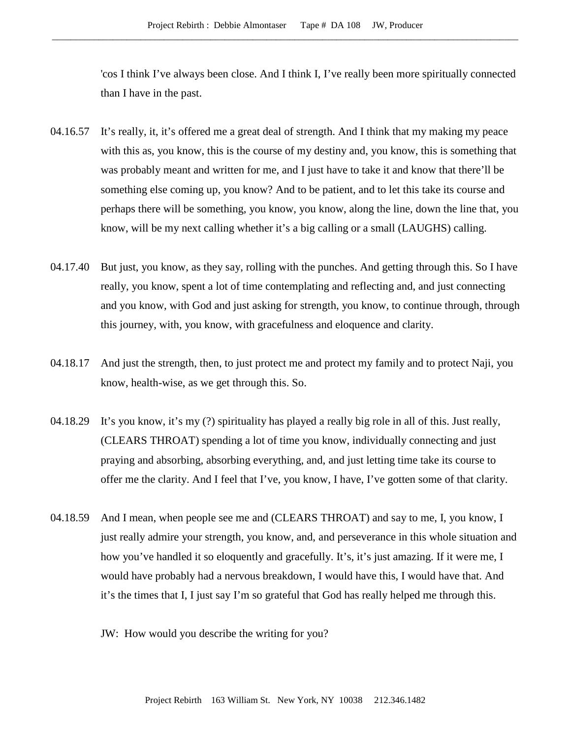'cos I think I've always been close. And I think I, I've really been more spiritually connected than I have in the past.

- 04.16.57 It's really, it, it's offered me a great deal of strength. And I think that my making my peace with this as, you know, this is the course of my destiny and, you know, this is something that was probably meant and written for me, and I just have to take it and know that there'll be something else coming up, you know? And to be patient, and to let this take its course and perhaps there will be something, you know, you know, along the line, down the line that, you know, will be my next calling whether it's a big calling or a small (LAUGHS) calling.
- 04.17.40 But just, you know, as they say, rolling with the punches. And getting through this. So I have really, you know, spent a lot of time contemplating and reflecting and, and just connecting and you know, with God and just asking for strength, you know, to continue through, through this journey, with, you know, with gracefulness and eloquence and clarity.
- 04.18.17 And just the strength, then, to just protect me and protect my family and to protect Naji, you know, health-wise, as we get through this. So.
- 04.18.29 It's you know, it's my (?) spirituality has played a really big role in all of this. Just really, (CLEARS THROAT) spending a lot of time you know, individually connecting and just praying and absorbing, absorbing everything, and, and just letting time take its course to offer me the clarity. And I feel that I've, you know, I have, I've gotten some of that clarity.
- 04.18.59 And I mean, when people see me and (CLEARS THROAT) and say to me, I, you know, I just really admire your strength, you know, and, and perseverance in this whole situation and how you've handled it so eloquently and gracefully. It's, it's just amazing. If it were me, I would have probably had a nervous breakdown, I would have this, I would have that. And it's the times that I, I just say I'm so grateful that God has really helped me through this.
	- JW: How would you describe the writing for you?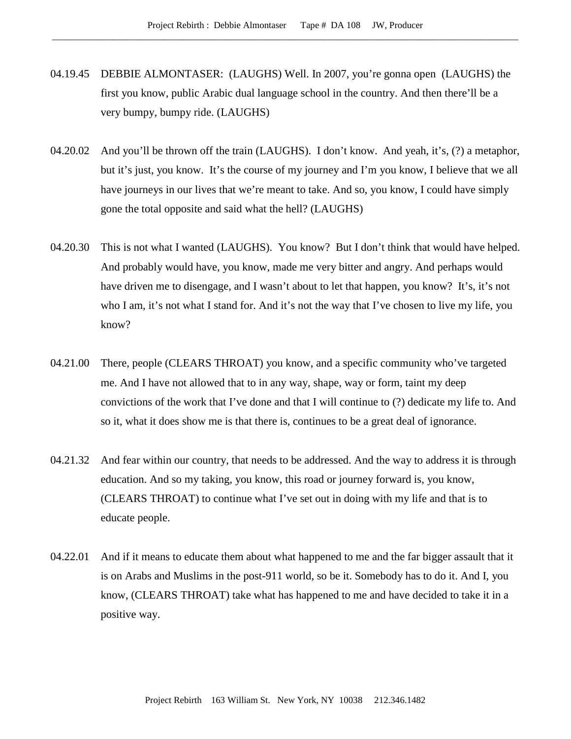- 04.19.45 DEBBIE ALMONTASER: (LAUGHS) Well. In 2007, you're gonna open (LAUGHS) the first you know, public Arabic dual language school in the country. And then there'll be a very bumpy, bumpy ride. (LAUGHS)
- 04.20.02 And you'll be thrown off the train (LAUGHS). I don't know. And yeah, it's, (?) a metaphor, but it's just, you know. It's the course of my journey and I'm you know, I believe that we all have journeys in our lives that we're meant to take. And so, you know, I could have simply gone the total opposite and said what the hell? (LAUGHS)
- 04.20.30 This is not what I wanted (LAUGHS). You know? But I don't think that would have helped. And probably would have, you know, made me very bitter and angry. And perhaps would have driven me to disengage, and I wasn't about to let that happen, you know? It's, it's not who I am, it's not what I stand for. And it's not the way that I've chosen to live my life, you know?
- 04.21.00 There, people (CLEARS THROAT) you know, and a specific community who've targeted me. And I have not allowed that to in any way, shape, way or form, taint my deep convictions of the work that I've done and that I will continue to (?) dedicate my life to. And so it, what it does show me is that there is, continues to be a great deal of ignorance.
- 04.21.32 And fear within our country, that needs to be addressed. And the way to address it is through education. And so my taking, you know, this road or journey forward is, you know, (CLEARS THROAT) to continue what I've set out in doing with my life and that is to educate people.
- 04.22.01 And if it means to educate them about what happened to me and the far bigger assault that it is on Arabs and Muslims in the post-911 world, so be it. Somebody has to do it. And I, you know, (CLEARS THROAT) take what has happened to me and have decided to take it in a positive way.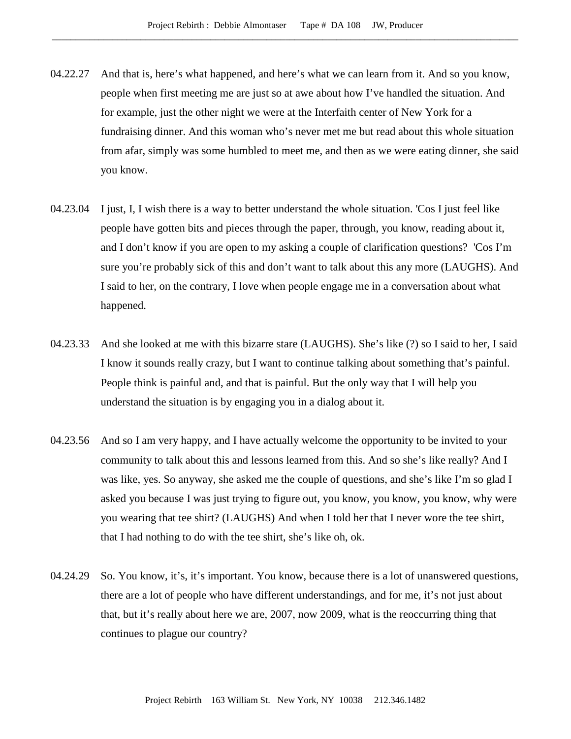- 04.22.27 And that is, here's what happened, and here's what we can learn from it. And so you know, people when first meeting me are just so at awe about how I've handled the situation. And for example, just the other night we were at the Interfaith center of New York for a fundraising dinner. And this woman who's never met me but read about this whole situation from afar, simply was some humbled to meet me, and then as we were eating dinner, she said you know.
- 04.23.04 I just, I, I wish there is a way to better understand the whole situation. 'Cos I just feel like people have gotten bits and pieces through the paper, through, you know, reading about it, and I don't know if you are open to my asking a couple of clarification questions? 'Cos I'm sure you're probably sick of this and don't want to talk about this any more (LAUGHS). And I said to her, on the contrary, I love when people engage me in a conversation about what happened.
- 04.23.33 And she looked at me with this bizarre stare (LAUGHS). She's like (?) so I said to her, I said I know it sounds really crazy, but I want to continue talking about something that's painful. People think is painful and, and that is painful. But the only way that I will help you understand the situation is by engaging you in a dialog about it.
- 04.23.56 And so I am very happy, and I have actually welcome the opportunity to be invited to your community to talk about this and lessons learned from this. And so she's like really? And I was like, yes. So anyway, she asked me the couple of questions, and she's like I'm so glad I asked you because I was just trying to figure out, you know, you know, you know, why were you wearing that tee shirt? (LAUGHS) And when I told her that I never wore the tee shirt, that I had nothing to do with the tee shirt, she's like oh, ok.
- 04.24.29 So. You know, it's, it's important. You know, because there is a lot of unanswered questions, there are a lot of people who have different understandings, and for me, it's not just about that, but it's really about here we are, 2007, now 2009, what is the reoccurring thing that continues to plague our country?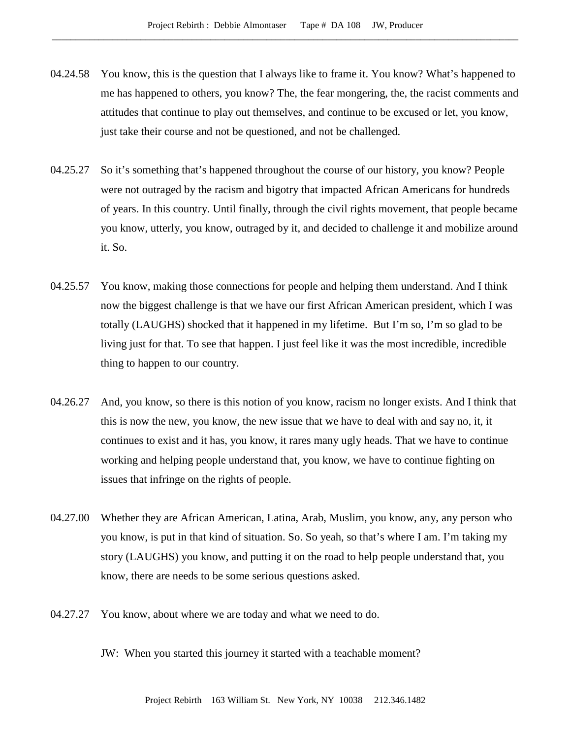- 04.24.58 You know, this is the question that I always like to frame it. You know? What's happened to me has happened to others, you know? The, the fear mongering, the, the racist comments and attitudes that continue to play out themselves, and continue to be excused or let, you know, just take their course and not be questioned, and not be challenged.
- 04.25.27 So it's something that's happened throughout the course of our history, you know? People were not outraged by the racism and bigotry that impacted African Americans for hundreds of years. In this country. Until finally, through the civil rights movement, that people became you know, utterly, you know, outraged by it, and decided to challenge it and mobilize around it. So.
- 04.25.57 You know, making those connections for people and helping them understand. And I think now the biggest challenge is that we have our first African American president, which I was totally (LAUGHS) shocked that it happened in my lifetime. But I'm so, I'm so glad to be living just for that. To see that happen. I just feel like it was the most incredible, incredible thing to happen to our country.
- 04.26.27 And, you know, so there is this notion of you know, racism no longer exists. And I think that this is now the new, you know, the new issue that we have to deal with and say no, it, it continues to exist and it has, you know, it rares many ugly heads. That we have to continue working and helping people understand that, you know, we have to continue fighting on issues that infringe on the rights of people.
- 04.27.00 Whether they are African American, Latina, Arab, Muslim, you know, any, any person who you know, is put in that kind of situation. So. So yeah, so that's where I am. I'm taking my story (LAUGHS) you know, and putting it on the road to help people understand that, you know, there are needs to be some serious questions asked.
- 04.27.27 You know, about where we are today and what we need to do.
	- JW: When you started this journey it started with a teachable moment?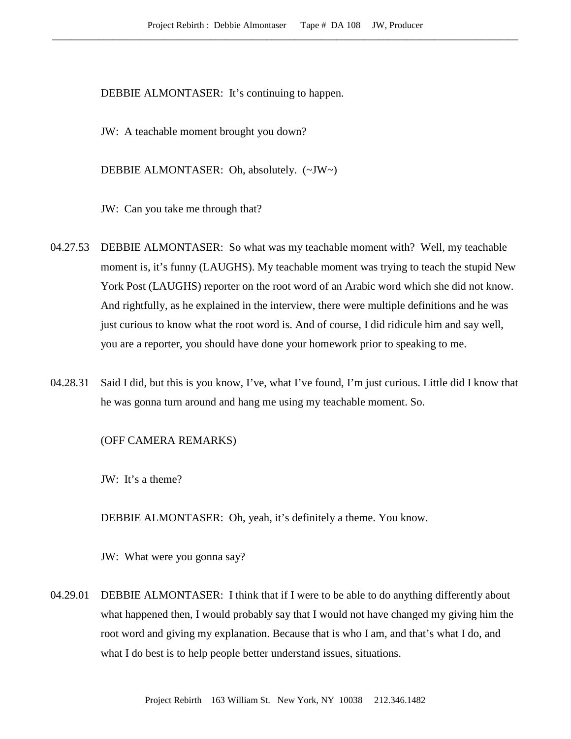DEBBIE ALMONTASER: It's continuing to happen.

JW: A teachable moment brought you down?

DEBBIE ALMONTASER: Oh, absolutely. (~JW~)

JW: Can you take me through that?

- 04.27.53 DEBBIE ALMONTASER: So what was my teachable moment with? Well, my teachable moment is, it's funny (LAUGHS). My teachable moment was trying to teach the stupid New York Post (LAUGHS) reporter on the root word of an Arabic word which she did not know. And rightfully, as he explained in the interview, there were multiple definitions and he was just curious to know what the root word is. And of course, I did ridicule him and say well, you are a reporter, you should have done your homework prior to speaking to me.
- 04.28.31 Said I did, but this is you know, I've, what I've found, I'm just curious. Little did I know that he was gonna turn around and hang me using my teachable moment. So.

## (OFF CAMERA REMARKS)

JW: It's a theme?

DEBBIE ALMONTASER: Oh, yeah, it's definitely a theme. You know.

JW: What were you gonna say?

04.29.01 DEBBIE ALMONTASER: I think that if I were to be able to do anything differently about what happened then, I would probably say that I would not have changed my giving him the root word and giving my explanation. Because that is who I am, and that's what I do, and what I do best is to help people better understand issues, situations.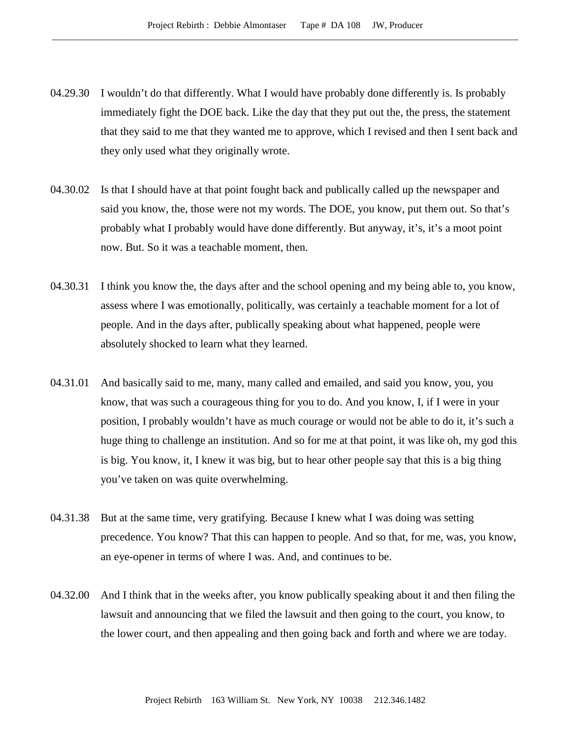- 04.29.30 I wouldn't do that differently. What I would have probably done differently is. Is probably immediately fight the DOE back. Like the day that they put out the, the press, the statement that they said to me that they wanted me to approve, which I revised and then I sent back and they only used what they originally wrote.
- 04.30.02 Is that I should have at that point fought back and publically called up the newspaper and said you know, the, those were not my words. The DOE, you know, put them out. So that's probably what I probably would have done differently. But anyway, it's, it's a moot point now. But. So it was a teachable moment, then.
- 04.30.31 I think you know the, the days after and the school opening and my being able to, you know, assess where I was emotionally, politically, was certainly a teachable moment for a lot of people. And in the days after, publically speaking about what happened, people were absolutely shocked to learn what they learned.
- 04.31.01 And basically said to me, many, many called and emailed, and said you know, you, you know, that was such a courageous thing for you to do. And you know, I, if I were in your position, I probably wouldn't have as much courage or would not be able to do it, it's such a huge thing to challenge an institution. And so for me at that point, it was like oh, my god this is big. You know, it, I knew it was big, but to hear other people say that this is a big thing you've taken on was quite overwhelming.
- 04.31.38 But at the same time, very gratifying. Because I knew what I was doing was setting precedence. You know? That this can happen to people. And so that, for me, was, you know, an eye-opener in terms of where I was. And, and continues to be.
- 04.32.00 And I think that in the weeks after, you know publically speaking about it and then filing the lawsuit and announcing that we filed the lawsuit and then going to the court, you know, to the lower court, and then appealing and then going back and forth and where we are today.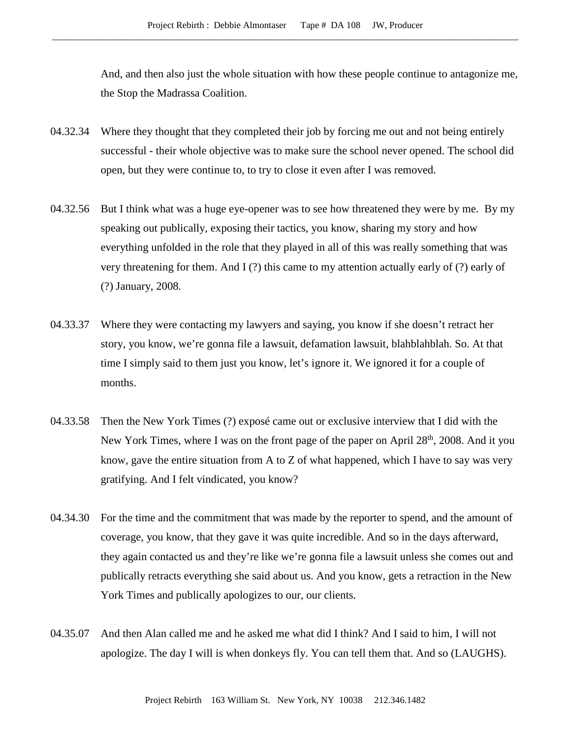And, and then also just the whole situation with how these people continue to antagonize me, the Stop the Madrassa Coalition.

- 04.32.34 Where they thought that they completed their job by forcing me out and not being entirely successful - their whole objective was to make sure the school never opened. The school did open, but they were continue to, to try to close it even after I was removed.
- 04.32.56 But I think what was a huge eye-opener was to see how threatened they were by me. By my speaking out publically, exposing their tactics, you know, sharing my story and how everything unfolded in the role that they played in all of this was really something that was very threatening for them. And I (?) this came to my attention actually early of (?) early of (?) January, 2008.
- 04.33.37 Where they were contacting my lawyers and saying, you know if she doesn't retract her story, you know, we're gonna file a lawsuit, defamation lawsuit, blahblahblah. So. At that time I simply said to them just you know, let's ignore it. We ignored it for a couple of months.
- 04.33.58 Then the New York Times (?) exposé came out or exclusive interview that I did with the New York Times, where I was on the front page of the paper on April 28<sup>th</sup>, 2008. And it you know, gave the entire situation from A to Z of what happened, which I have to say was very gratifying. And I felt vindicated, you know?
- 04.34.30 For the time and the commitment that was made by the reporter to spend, and the amount of coverage, you know, that they gave it was quite incredible. And so in the days afterward, they again contacted us and they're like we're gonna file a lawsuit unless she comes out and publically retracts everything she said about us. And you know, gets a retraction in the New York Times and publically apologizes to our, our clients.
- 04.35.07 And then Alan called me and he asked me what did I think? And I said to him, I will not apologize. The day I will is when donkeys fly. You can tell them that. And so (LAUGHS).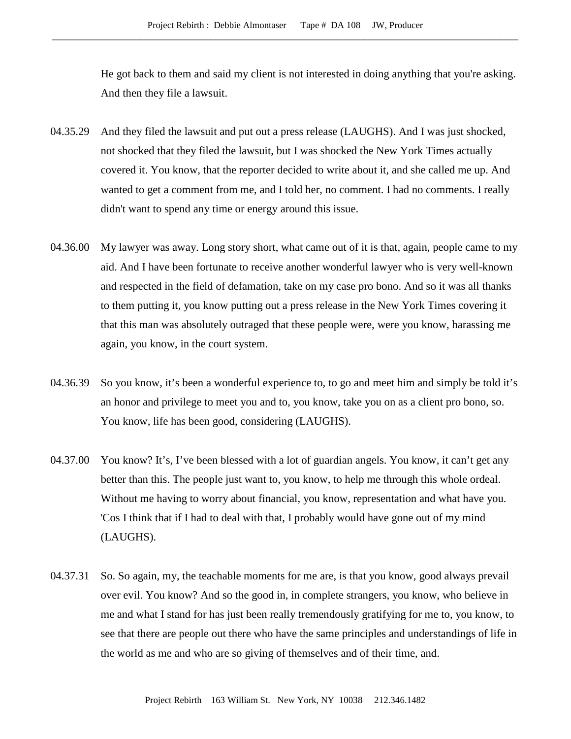He got back to them and said my client is not interested in doing anything that you're asking. And then they file a lawsuit.

- 04.35.29 And they filed the lawsuit and put out a press release (LAUGHS). And I was just shocked, not shocked that they filed the lawsuit, but I was shocked the New York Times actually covered it. You know, that the reporter decided to write about it, and she called me up. And wanted to get a comment from me, and I told her, no comment. I had no comments. I really didn't want to spend any time or energy around this issue.
- 04.36.00 My lawyer was away. Long story short, what came out of it is that, again, people came to my aid. And I have been fortunate to receive another wonderful lawyer who is very well-known and respected in the field of defamation, take on my case pro bono. And so it was all thanks to them putting it, you know putting out a press release in the New York Times covering it that this man was absolutely outraged that these people were, were you know, harassing me again, you know, in the court system.
- 04.36.39 So you know, it's been a wonderful experience to, to go and meet him and simply be told it's an honor and privilege to meet you and to, you know, take you on as a client pro bono, so. You know, life has been good, considering (LAUGHS).
- 04.37.00 You know? It's, I've been blessed with a lot of guardian angels. You know, it can't get any better than this. The people just want to, you know, to help me through this whole ordeal. Without me having to worry about financial, you know, representation and what have you. 'Cos I think that if I had to deal with that, I probably would have gone out of my mind (LAUGHS).
- 04.37.31 So. So again, my, the teachable moments for me are, is that you know, good always prevail over evil. You know? And so the good in, in complete strangers, you know, who believe in me and what I stand for has just been really tremendously gratifying for me to, you know, to see that there are people out there who have the same principles and understandings of life in the world as me and who are so giving of themselves and of their time, and.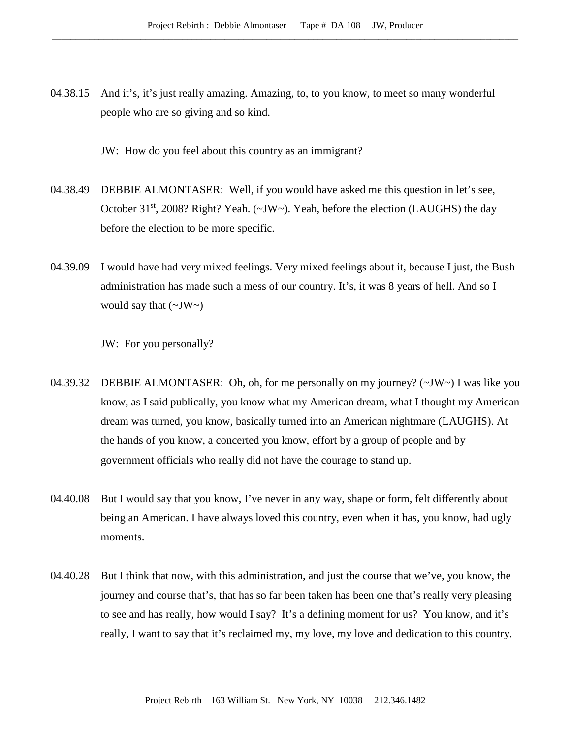04.38.15 And it's, it's just really amazing. Amazing, to, to you know, to meet so many wonderful people who are so giving and so kind.

JW: How do you feel about this country as an immigrant?

- 04.38.49 DEBBIE ALMONTASER: Well, if you would have asked me this question in let's see, October  $31<sup>st</sup>$ , 2008? Right? Yeah. ( $\sim$ JW $\sim$ ). Yeah, before the election (LAUGHS) the day before the election to be more specific.
- 04.39.09 I would have had very mixed feelings. Very mixed feelings about it, because I just, the Bush administration has made such a mess of our country. It's, it was 8 years of hell. And so I would say that  $(\sim JW)$

JW: For you personally?

- 04.39.32 DEBBIE ALMONTASER: Oh, oh, for me personally on my journey? (~JW~) I was like you know, as I said publically, you know what my American dream, what I thought my American dream was turned, you know, basically turned into an American nightmare (LAUGHS). At the hands of you know, a concerted you know, effort by a group of people and by government officials who really did not have the courage to stand up.
- 04.40.08 But I would say that you know, I've never in any way, shape or form, felt differently about being an American. I have always loved this country, even when it has, you know, had ugly moments.
- 04.40.28 But I think that now, with this administration, and just the course that we've, you know, the journey and course that's, that has so far been taken has been one that's really very pleasing to see and has really, how would I say? It's a defining moment for us? You know, and it's really, I want to say that it's reclaimed my, my love, my love and dedication to this country.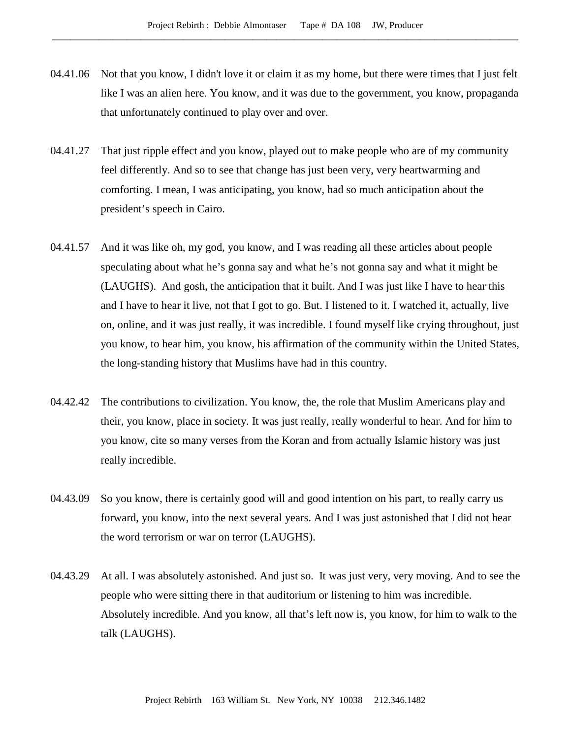- 04.41.06 Not that you know, I didn't love it or claim it as my home, but there were times that I just felt like I was an alien here. You know, and it was due to the government, you know, propaganda that unfortunately continued to play over and over.
- 04.41.27 That just ripple effect and you know, played out to make people who are of my community feel differently. And so to see that change has just been very, very heartwarming and comforting. I mean, I was anticipating, you know, had so much anticipation about the president's speech in Cairo.
- 04.41.57 And it was like oh, my god, you know, and I was reading all these articles about people speculating about what he's gonna say and what he's not gonna say and what it might be (LAUGHS). And gosh, the anticipation that it built. And I was just like I have to hear this and I have to hear it live, not that I got to go. But. I listened to it. I watched it, actually, live on, online, and it was just really, it was incredible. I found myself like crying throughout, just you know, to hear him, you know, his affirmation of the community within the United States, the long-standing history that Muslims have had in this country.
- 04.42.42 The contributions to civilization. You know, the, the role that Muslim Americans play and their, you know, place in society. It was just really, really wonderful to hear. And for him to you know, cite so many verses from the Koran and from actually Islamic history was just really incredible.
- 04.43.09 So you know, there is certainly good will and good intention on his part, to really carry us forward, you know, into the next several years. And I was just astonished that I did not hear the word terrorism or war on terror (LAUGHS).
- 04.43.29 At all. I was absolutely astonished. And just so. It was just very, very moving. And to see the people who were sitting there in that auditorium or listening to him was incredible. Absolutely incredible. And you know, all that's left now is, you know, for him to walk to the talk (LAUGHS).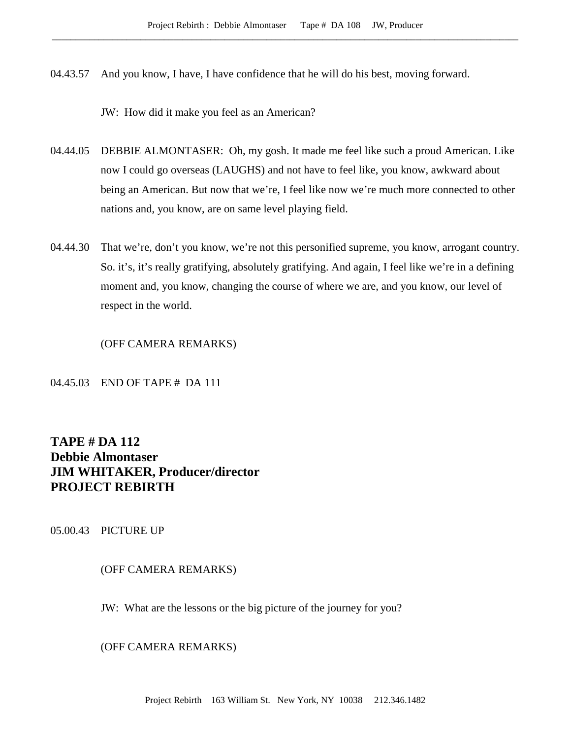04.43.57 And you know, I have, I have confidence that he will do his best, moving forward.

JW: How did it make you feel as an American?

- 04.44.05 DEBBIE ALMONTASER: Oh, my gosh. It made me feel like such a proud American. Like now I could go overseas (LAUGHS) and not have to feel like, you know, awkward about being an American. But now that we're, I feel like now we're much more connected to other nations and, you know, are on same level playing field.
- 04.44.30 That we're, don't you know, we're not this personified supreme, you know, arrogant country. So. it's, it's really gratifying, absolutely gratifying. And again, I feel like we're in a defining moment and, you know, changing the course of where we are, and you know, our level of respect in the world.

(OFF CAMERA REMARKS)

04.45.03 END OF TAPE # DA 111

# **TAPE # DA 112 Debbie Almontaser JIM WHITAKER, Producer/director PROJECT REBIRTH**

05.00.43 PICTURE UP

# (OFF CAMERA REMARKS)

JW: What are the lessons or the big picture of the journey for you?

(OFF CAMERA REMARKS)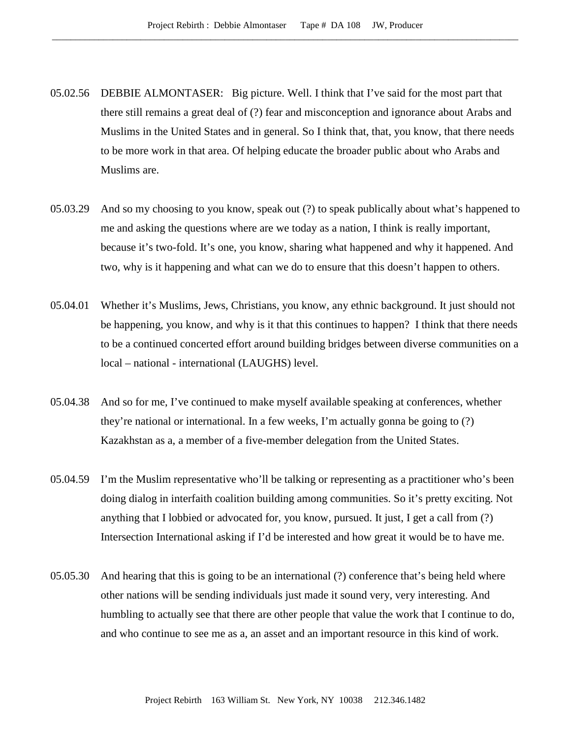- 05.02.56 DEBBIE ALMONTASER: Big picture. Well. I think that I've said for the most part that there still remains a great deal of (?) fear and misconception and ignorance about Arabs and Muslims in the United States and in general. So I think that, that, you know, that there needs to be more work in that area. Of helping educate the broader public about who Arabs and Muslims are.
- 05.03.29 And so my choosing to you know, speak out (?) to speak publically about what's happened to me and asking the questions where are we today as a nation, I think is really important, because it's two-fold. It's one, you know, sharing what happened and why it happened. And two, why is it happening and what can we do to ensure that this doesn't happen to others.
- 05.04.01 Whether it's Muslims, Jews, Christians, you know, any ethnic background. It just should not be happening, you know, and why is it that this continues to happen? I think that there needs to be a continued concerted effort around building bridges between diverse communities on a local – national - international (LAUGHS) level.
- 05.04.38 And so for me, I've continued to make myself available speaking at conferences, whether they're national or international. In a few weeks, I'm actually gonna be going to (?) Kazakhstan as a, a member of a five-member delegation from the United States.
- 05.04.59 I'm the Muslim representative who'll be talking or representing as a practitioner who's been doing dialog in interfaith coalition building among communities. So it's pretty exciting. Not anything that I lobbied or advocated for, you know, pursued. It just, I get a call from (?) Intersection International asking if I'd be interested and how great it would be to have me.
- 05.05.30 And hearing that this is going to be an international (?) conference that's being held where other nations will be sending individuals just made it sound very, very interesting. And humbling to actually see that there are other people that value the work that I continue to do, and who continue to see me as a, an asset and an important resource in this kind of work.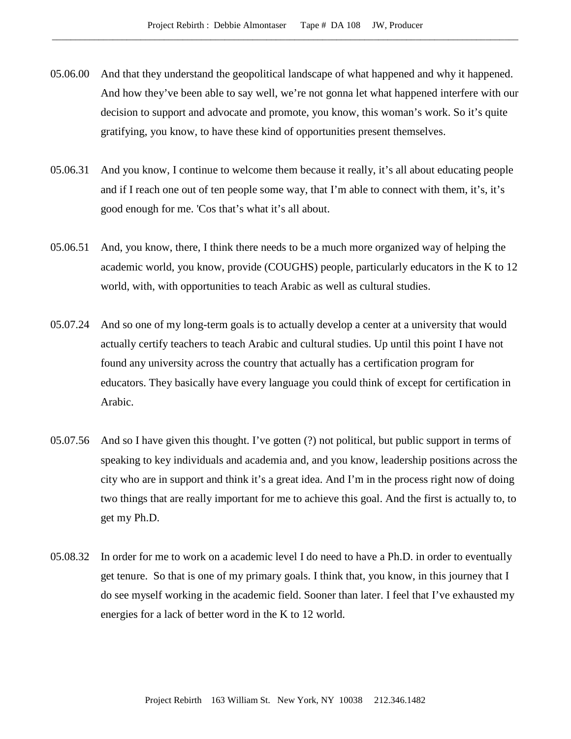- 05.06.00 And that they understand the geopolitical landscape of what happened and why it happened. And how they've been able to say well, we're not gonna let what happened interfere with our decision to support and advocate and promote, you know, this woman's work. So it's quite gratifying, you know, to have these kind of opportunities present themselves.
- 05.06.31 And you know, I continue to welcome them because it really, it's all about educating people and if I reach one out of ten people some way, that I'm able to connect with them, it's, it's good enough for me. 'Cos that's what it's all about.
- 05.06.51 And, you know, there, I think there needs to be a much more organized way of helping the academic world, you know, provide (COUGHS) people, particularly educators in the K to 12 world, with, with opportunities to teach Arabic as well as cultural studies.
- 05.07.24 And so one of my long-term goals is to actually develop a center at a university that would actually certify teachers to teach Arabic and cultural studies. Up until this point I have not found any university across the country that actually has a certification program for educators. They basically have every language you could think of except for certification in Arabic.
- 05.07.56 And so I have given this thought. I've gotten (?) not political, but public support in terms of speaking to key individuals and academia and, and you know, leadership positions across the city who are in support and think it's a great idea. And I'm in the process right now of doing two things that are really important for me to achieve this goal. And the first is actually to, to get my Ph.D.
- 05.08.32 In order for me to work on a academic level I do need to have a Ph.D. in order to eventually get tenure. So that is one of my primary goals. I think that, you know, in this journey that I do see myself working in the academic field. Sooner than later. I feel that I've exhausted my energies for a lack of better word in the K to 12 world.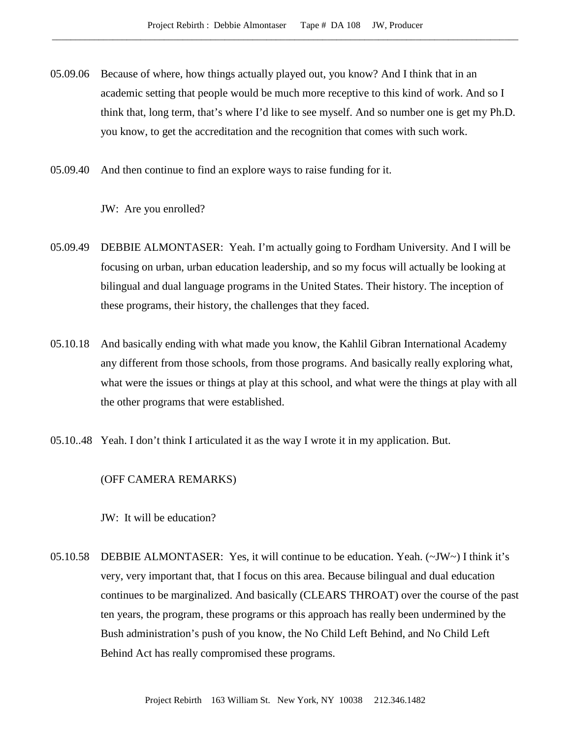- 05.09.06 Because of where, how things actually played out, you know? And I think that in an academic setting that people would be much more receptive to this kind of work. And so I think that, long term, that's where I'd like to see myself. And so number one is get my Ph.D. you know, to get the accreditation and the recognition that comes with such work.
- 05.09.40 And then continue to find an explore ways to raise funding for it.

JW: Are you enrolled?

- 05.09.49 DEBBIE ALMONTASER: Yeah. I'm actually going to Fordham University. And I will be focusing on urban, urban education leadership, and so my focus will actually be looking at bilingual and dual language programs in the United States. Their history. The inception of these programs, their history, the challenges that they faced.
- 05.10.18 And basically ending with what made you know, the Kahlil Gibran International Academy any different from those schools, from those programs. And basically really exploring what, what were the issues or things at play at this school, and what were the things at play with all the other programs that were established.
- 05.10..48 Yeah. I don't think I articulated it as the way I wrote it in my application. But.

(OFF CAMERA REMARKS)

JW: It will be education?

05.10.58 DEBBIE ALMONTASER: Yes, it will continue to be education. Yeah. (~JW~) I think it's very, very important that, that I focus on this area. Because bilingual and dual education continues to be marginalized. And basically (CLEARS THROAT) over the course of the past ten years, the program, these programs or this approach has really been undermined by the Bush administration's push of you know, the No Child Left Behind, and No Child Left Behind Act has really compromised these programs.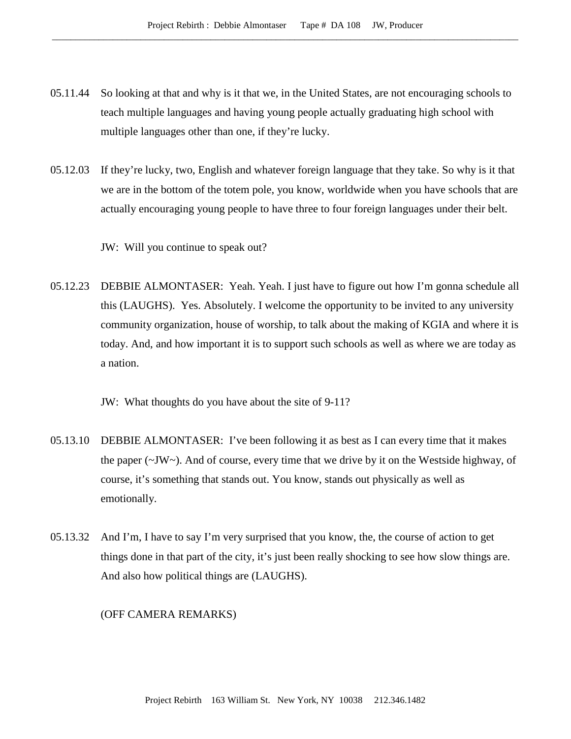- 05.11.44 So looking at that and why is it that we, in the United States, are not encouraging schools to teach multiple languages and having young people actually graduating high school with multiple languages other than one, if they're lucky.
- 05.12.03 If they're lucky, two, English and whatever foreign language that they take. So why is it that we are in the bottom of the totem pole, you know, worldwide when you have schools that are actually encouraging young people to have three to four foreign languages under their belt.

JW: Will you continue to speak out?

05.12.23 DEBBIE ALMONTASER: Yeah. Yeah. I just have to figure out how I'm gonna schedule all this (LAUGHS). Yes. Absolutely. I welcome the opportunity to be invited to any university community organization, house of worship, to talk about the making of KGIA and where it is today. And, and how important it is to support such schools as well as where we are today as a nation.

JW: What thoughts do you have about the site of 9-11?

- 05.13.10 DEBBIE ALMONTASER: I've been following it as best as I can every time that it makes the paper  $(\sim JW\sim)$ . And of course, every time that we drive by it on the Westside highway, of course, it's something that stands out. You know, stands out physically as well as emotionally.
- 05.13.32 And I'm, I have to say I'm very surprised that you know, the, the course of action to get things done in that part of the city, it's just been really shocking to see how slow things are. And also how political things are (LAUGHS).

(OFF CAMERA REMARKS)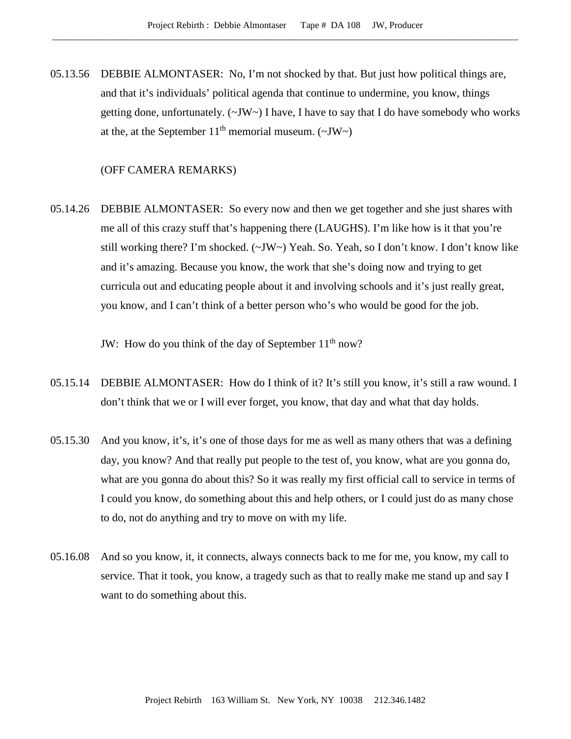05.13.56 DEBBIE ALMONTASER: No, I'm not shocked by that. But just how political things are, and that it's individuals' political agenda that continue to undermine, you know, things getting done, unfortunately. (~JW~) I have, I have to say that I do have somebody who works at the, at the September  $11<sup>th</sup>$  memorial museum. (~JW~)

## (OFF CAMERA REMARKS)

05.14.26 DEBBIE ALMONTASER: So every now and then we get together and she just shares with me all of this crazy stuff that's happening there (LAUGHS). I'm like how is it that you're still working there? I'm shocked. (~JW~) Yeah. So. Yeah, so I don't know. I don't know like and it's amazing. Because you know, the work that she's doing now and trying to get curricula out and educating people about it and involving schools and it's just really great, you know, and I can't think of a better person who's who would be good for the job.

JW: How do you think of the day of September  $11<sup>th</sup>$  now?

- 05.15.14 DEBBIE ALMONTASER: How do I think of it? It's still you know, it's still a raw wound. I don't think that we or I will ever forget, you know, that day and what that day holds.
- 05.15.30 And you know, it's, it's one of those days for me as well as many others that was a defining day, you know? And that really put people to the test of, you know, what are you gonna do, what are you gonna do about this? So it was really my first official call to service in terms of I could you know, do something about this and help others, or I could just do as many chose to do, not do anything and try to move on with my life.
- 05.16.08 And so you know, it, it connects, always connects back to me for me, you know, my call to service. That it took, you know, a tragedy such as that to really make me stand up and say I want to do something about this.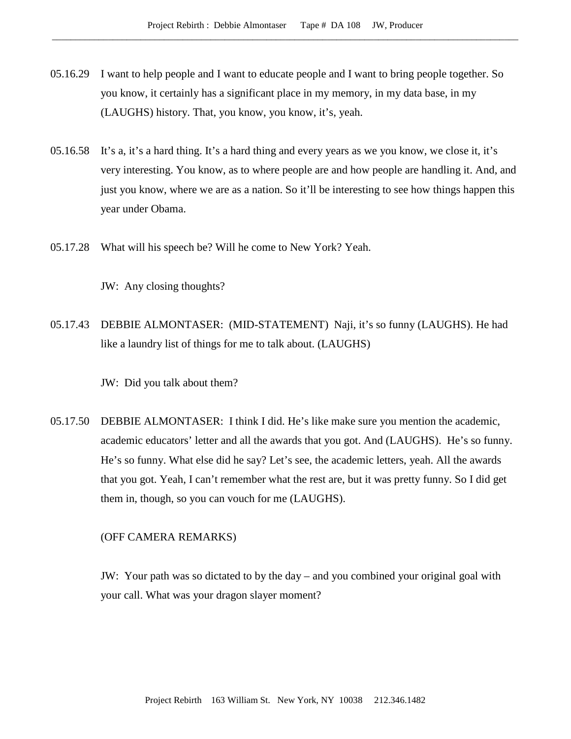- 05.16.29 I want to help people and I want to educate people and I want to bring people together. So you know, it certainly has a significant place in my memory, in my data base, in my (LAUGHS) history. That, you know, you know, it's, yeah.
- 05.16.58 It's a, it's a hard thing. It's a hard thing and every years as we you know, we close it, it's very interesting. You know, as to where people are and how people are handling it. And, and just you know, where we are as a nation. So it'll be interesting to see how things happen this year under Obama.
- 05.17.28 What will his speech be? Will he come to New York? Yeah.

JW: Any closing thoughts?

05.17.43 DEBBIE ALMONTASER: (MID-STATEMENT) Naji, it's so funny (LAUGHS). He had like a laundry list of things for me to talk about. (LAUGHS)

JW: Did you talk about them?

05.17.50 DEBBIE ALMONTASER: I think I did. He's like make sure you mention the academic, academic educators' letter and all the awards that you got. And (LAUGHS). He's so funny. He's so funny. What else did he say? Let's see, the academic letters, yeah. All the awards that you got. Yeah, I can't remember what the rest are, but it was pretty funny. So I did get them in, though, so you can vouch for me (LAUGHS).

### (OFF CAMERA REMARKS)

JW: Your path was so dictated to by the day – and you combined your original goal with your call. What was your dragon slayer moment?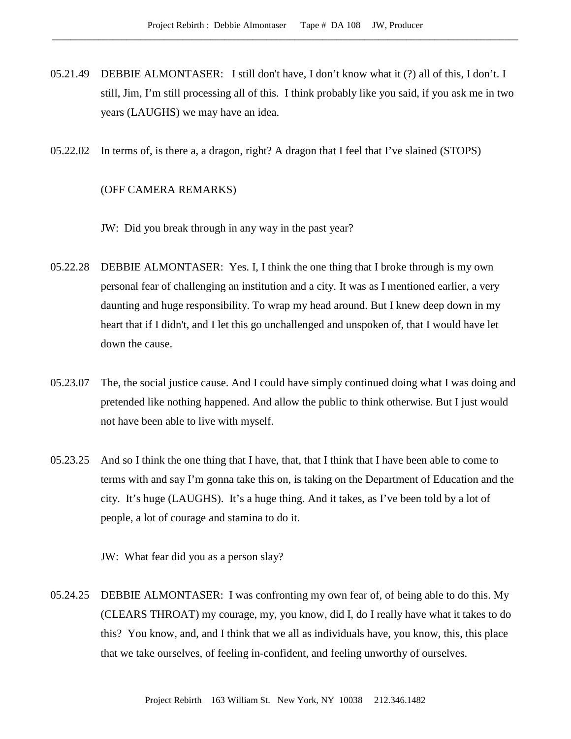- 05.21.49 DEBBIE ALMONTASER: I still don't have, I don't know what it (?) all of this, I don't. I still, Jim, I'm still processing all of this. I think probably like you said, if you ask me in two years (LAUGHS) we may have an idea.
- 05.22.02 In terms of, is there a, a dragon, right? A dragon that I feel that I've slained (STOPS)

## (OFF CAMERA REMARKS)

JW: Did you break through in any way in the past year?

- 05.22.28 DEBBIE ALMONTASER: Yes. I, I think the one thing that I broke through is my own personal fear of challenging an institution and a city. It was as I mentioned earlier, a very daunting and huge responsibility. To wrap my head around. But I knew deep down in my heart that if I didn't, and I let this go unchallenged and unspoken of, that I would have let down the cause.
- 05.23.07 The, the social justice cause. And I could have simply continued doing what I was doing and pretended like nothing happened. And allow the public to think otherwise. But I just would not have been able to live with myself.
- 05.23.25 And so I think the one thing that I have, that, that I think that I have been able to come to terms with and say I'm gonna take this on, is taking on the Department of Education and the city. It's huge (LAUGHS). It's a huge thing. And it takes, as I've been told by a lot of people, a lot of courage and stamina to do it.

JW: What fear did you as a person slay?

05.24.25 DEBBIE ALMONTASER: I was confronting my own fear of, of being able to do this. My (CLEARS THROAT) my courage, my, you know, did I, do I really have what it takes to do this? You know, and, and I think that we all as individuals have, you know, this, this place that we take ourselves, of feeling in-confident, and feeling unworthy of ourselves.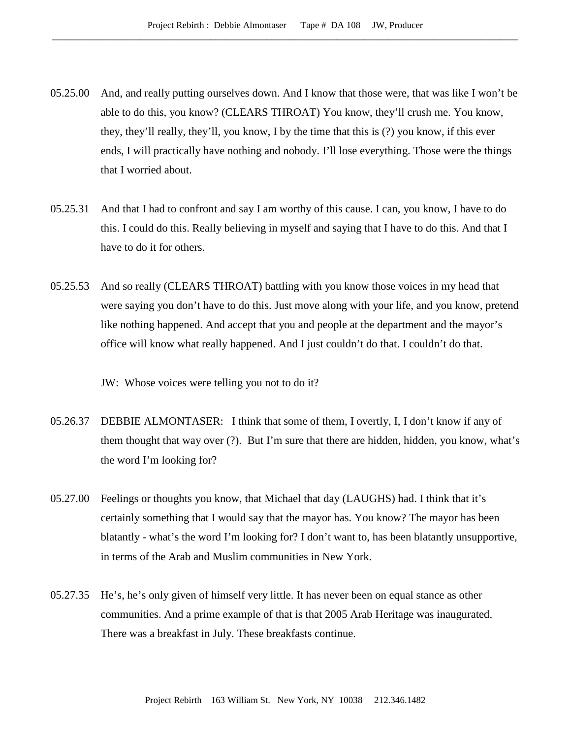- 05.25.00 And, and really putting ourselves down. And I know that those were, that was like I won't be able to do this, you know? (CLEARS THROAT) You know, they'll crush me. You know, they, they'll really, they'll, you know, I by the time that this is (?) you know, if this ever ends, I will practically have nothing and nobody. I'll lose everything. Those were the things that I worried about.
- 05.25.31 And that I had to confront and say I am worthy of this cause. I can, you know, I have to do this. I could do this. Really believing in myself and saying that I have to do this. And that I have to do it for others.
- 05.25.53 And so really (CLEARS THROAT) battling with you know those voices in my head that were saying you don't have to do this. Just move along with your life, and you know, pretend like nothing happened. And accept that you and people at the department and the mayor's office will know what really happened. And I just couldn't do that. I couldn't do that.

JW: Whose voices were telling you not to do it?

- 05.26.37 DEBBIE ALMONTASER: I think that some of them, I overtly, I, I don't know if any of them thought that way over (?). But I'm sure that there are hidden, hidden, you know, what's the word I'm looking for?
- 05.27.00 Feelings or thoughts you know, that Michael that day (LAUGHS) had. I think that it's certainly something that I would say that the mayor has. You know? The mayor has been blatantly - what's the word I'm looking for? I don't want to, has been blatantly unsupportive, in terms of the Arab and Muslim communities in New York.
- 05.27.35 He's, he's only given of himself very little. It has never been on equal stance as other communities. And a prime example of that is that 2005 Arab Heritage was inaugurated. There was a breakfast in July. These breakfasts continue.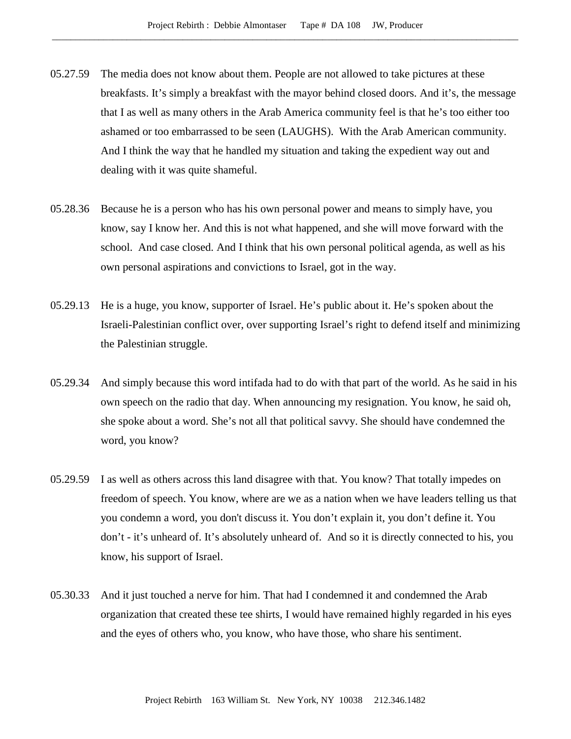- 05.27.59 The media does not know about them. People are not allowed to take pictures at these breakfasts. It's simply a breakfast with the mayor behind closed doors. And it's, the message that I as well as many others in the Arab America community feel is that he's too either too ashamed or too embarrassed to be seen (LAUGHS). With the Arab American community. And I think the way that he handled my situation and taking the expedient way out and dealing with it was quite shameful.
- 05.28.36 Because he is a person who has his own personal power and means to simply have, you know, say I know her. And this is not what happened, and she will move forward with the school. And case closed. And I think that his own personal political agenda, as well as his own personal aspirations and convictions to Israel, got in the way.
- 05.29.13 He is a huge, you know, supporter of Israel. He's public about it. He's spoken about the Israeli-Palestinian conflict over, over supporting Israel's right to defend itself and minimizing the Palestinian struggle.
- 05.29.34 And simply because this word intifada had to do with that part of the world. As he said in his own speech on the radio that day. When announcing my resignation. You know, he said oh, she spoke about a word. She's not all that political savvy. She should have condemned the word, you know?
- 05.29.59 I as well as others across this land disagree with that. You know? That totally impedes on freedom of speech. You know, where are we as a nation when we have leaders telling us that you condemn a word, you don't discuss it. You don't explain it, you don't define it. You don't - it's unheard of. It's absolutely unheard of. And so it is directly connected to his, you know, his support of Israel.
- 05.30.33 And it just touched a nerve for him. That had I condemned it and condemned the Arab organization that created these tee shirts, I would have remained highly regarded in his eyes and the eyes of others who, you know, who have those, who share his sentiment.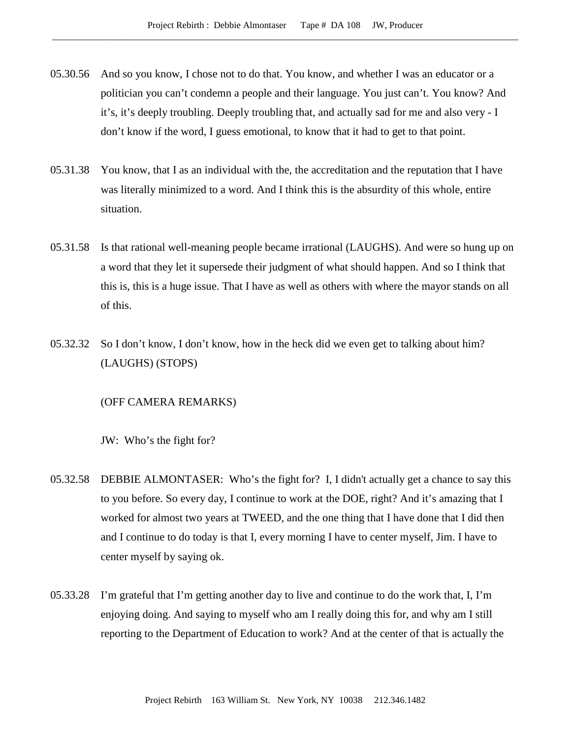- 05.30.56 And so you know, I chose not to do that. You know, and whether I was an educator or a politician you can't condemn a people and their language. You just can't. You know? And it's, it's deeply troubling. Deeply troubling that, and actually sad for me and also very - I don't know if the word, I guess emotional, to know that it had to get to that point.
- 05.31.38 You know, that I as an individual with the, the accreditation and the reputation that I have was literally minimized to a word. And I think this is the absurdity of this whole, entire situation.
- 05.31.58 Is that rational well-meaning people became irrational (LAUGHS). And were so hung up on a word that they let it supersede their judgment of what should happen. And so I think that this is, this is a huge issue. That I have as well as others with where the mayor stands on all of this.
- 05.32.32 So I don't know, I don't know, how in the heck did we even get to talking about him? (LAUGHS) (STOPS)

## (OFF CAMERA REMARKS)

JW: Who's the fight for?

- 05.32.58 DEBBIE ALMONTASER: Who's the fight for? I, I didn't actually get a chance to say this to you before. So every day, I continue to work at the DOE, right? And it's amazing that I worked for almost two years at TWEED, and the one thing that I have done that I did then and I continue to do today is that I, every morning I have to center myself, Jim. I have to center myself by saying ok.
- 05.33.28 I'm grateful that I'm getting another day to live and continue to do the work that, I, I'm enjoying doing. And saying to myself who am I really doing this for, and why am I still reporting to the Department of Education to work? And at the center of that is actually the